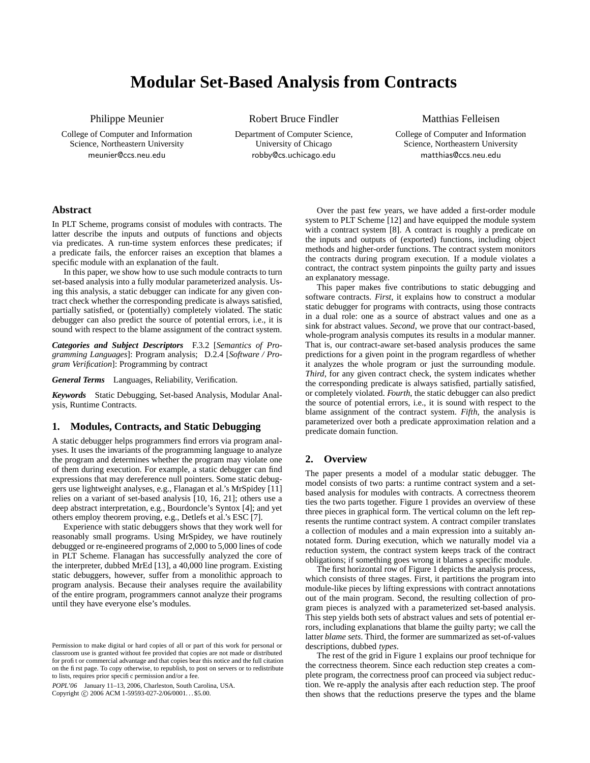# **Modular Set-Based Analysis from Contracts**

Philippe Meunier

College of Computer and Information Science, Northeastern University meunier@ccs.neu.edu

Robert Bruce Findler Department of Computer Science,

University of Chicago robby@cs.uchicago.edu

## Matthias Felleisen

College of Computer and Information Science, Northeastern University matthias@ccs.neu.edu

## **Abstract**

In PLT Scheme, programs consist of modules with contracts. The latter describe the inputs and outputs of functions and objects via predicates. A run-time system enforces these predicates; if a predicate fails, the enforcer raises an exception that blames a specific module with an explanation of the fault.

In this paper, we show how to use such module contracts to turn set-based analysis into a fully modular parameterized analysis. Using this analysis, a static debugger can indicate for any given contract check whether the corresponding predicate is always satisfied, partially satisfied, or (potentially) completely violated. The static debugger can also predict the source of potential errors, i.e., it is sound with respect to the blame assignment of the contract system.

*Categories and Subject Descriptors* F.3.2 [*Semantics of Programming Languages*]: Program analysis; D.2.4 [*Software / Program Verification*]: Programming by contract

*General Terms* Languages, Reliability, Verification.

*Keywords* Static Debugging, Set-based Analysis, Modular Analysis, Runtime Contracts.

## **1. Modules, Contracts, and Static Debugging**

A static debugger helps programmers find errors via program analyses. It uses the invariants of the programming language to analyze the program and determines whether the program may violate one of them during execution. For example, a static debugger can find expressions that may dereference null pointers. Some static debuggers use lightweight analyses, e.g., Flanagan et al.'s MrSpidey [11] relies on a variant of set-based analysis [10, 16, 21]; others use a deep abstract interpretation, e.g., Bourdoncle's Syntox [4]; and yet others employ theorem proving, e.g., Detlefs et al.'s ESC [7].

Experience with static debuggers shows that they work well for reasonably small programs. Using MrSpidey, we have routinely debugged or re-engineered programs of 2,000 to 5,000 lines of code in PLT Scheme. Flanagan has successfully analyzed the core of the interpreter, dubbed MrEd [13], a 40,000 line program. Existing static debuggers, however, suffer from a monolithic approach to program analysis. Because their analyses require the availability of the entire program, programmers cannot analyze their programs until they have everyone else's modules.

POPL'06 January 11–13, 2006, Charleston, South Carolina, USA. Copyright © 2006 ACM 1-59593-027-2/06/0001... \$5.00.

Over the past few years, we have added a first-order module system to PLT Scheme [12] and have equipped the module system with a contract system [8]. A contract is roughly a predicate on the inputs and outputs of (exported) functions, including object methods and higher-order functions. The contract system monitors the contracts during program execution. If a module violates a contract, the contract system pinpoints the guilty party and issues an explanatory message.

This paper makes five contributions to static debugging and software contracts. *First*, it explains how to construct a modular static debugger for programs with contracts, using those contracts in a dual role: one as a source of abstract values and one as a sink for abstract values. *Second*, we prove that our contract-based, whole-program analysis computes its results in a modular manner. That is, our contract-aware set-based analysis produces the same predictions for a given point in the program regardless of whether it analyzes the whole program or just the surrounding module. *Third*, for any given contract check, the system indicates whether the corresponding predicate is always satisfied, partially satisfied, or completely violated. *Fourth*, the static debugger can also predict the source of potential errors, i.e., it is sound with respect to the blame assignment of the contract system. *Fifth*, the analysis is parameterized over both a predicate approximation relation and a predicate domain function.

## **2. Overview**

The paper presents a model of a modular static debugger. The model consists of two parts: a runtime contract system and a setbased analysis for modules with contracts. A correctness theorem ties the two parts together. Figure 1 provides an overview of these three pieces in graphical form. The vertical column on the left represents the runtime contract system. A contract compiler translates a collection of modules and a main expression into a suitably annotated form. During execution, which we naturally model via a reduction system, the contract system keeps track of the contract obligations; if something goes wrong it blames a specific module.

The first horizontal row of Figure 1 depicts the analysis process, which consists of three stages. First, it partitions the program into module-like pieces by lifting expressions with contract annotations out of the main program. Second, the resulting collection of program pieces is analyzed with a parameterized set-based analysis. This step yields both sets of abstract values and sets of potential errors, including explanations that blame the guilty party; we call the latter *blame sets*. Third, the former are summarized as set-of-values descriptions, dubbed *types*.

The rest of the grid in Figure 1 explains our proof technique for the correctness theorem. Since each reduction step creates a complete program, the correctness proof can proceed via subject reduction. We re-apply the analysis after each reduction step. The proof then shows that the reductions preserve the types and the blame

Permission to make digital or hard copies of all or part of this work for personal or classroom use is granted without fee provided that copies are not made or distributed for profit or commercial advantage and that copies bear this notice and the full citation on the first page. To copy otherwise, to republish, to post on servers or to redistribute to lists, requires prior specific permission and/or a fee.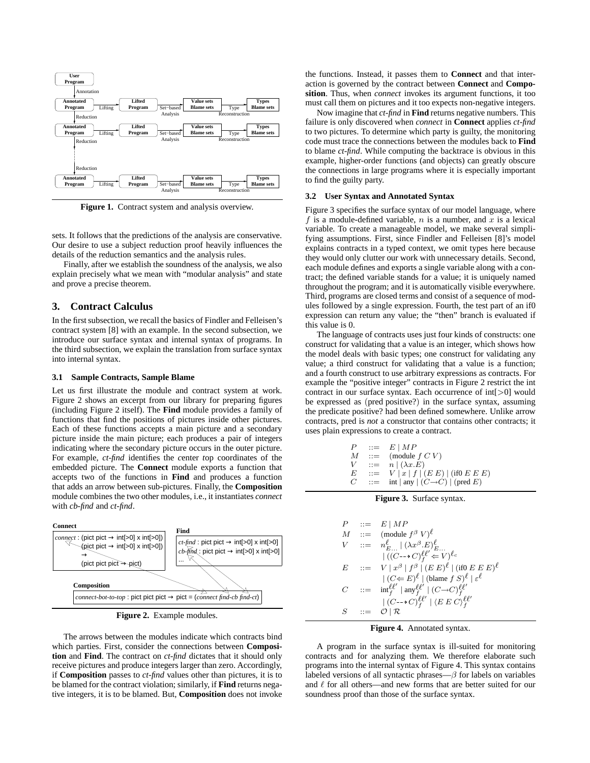

**Figure 1.** Contract system and analysis overview.

sets. It follows that the predictions of the analysis are conservative. Our desire to use a subject reduction proof heavily influences the details of the reduction semantics and the analysis rules.

Finally, after we establish the soundness of the analysis, we also explain precisely what we mean with "modular analysis" and state and prove a precise theorem.

## **3. Contract Calculus**

In the first subsection, we recall the basics of Findler and Felleisen's contract system [8] with an example. In the second subsection, we introduce our surface syntax and internal syntax of programs. In the third subsection, we explain the translation from surface syntax into internal syntax.

#### **3.1 Sample Contracts, Sample Blame**

Let us first illustrate the module and contract system at work. Figure 2 shows an excerpt from our library for preparing figures (including Figure 2 itself). The **Find** module provides a family of functions that find the positions of pictures inside other pictures. Each of these functions accepts a main picture and a secondary picture inside the main picture; each produces a pair of integers indicating where the secondary picture occurs in the outer picture. For example, *ct-find* identifies the *c*enter *t*op coordinates of the embedded picture. The **Connect** module exports a function that accepts two of the functions in **Find** and produces a function that adds an arrow between sub-pictures. Finally, the **Composition** module combines the two other modules, i.e., it instantiates *connect* with *cb-find* and *ct-find*.



**Figure 2.** Example modules.

The arrows between the modules indicate which contracts bind which parties. First, consider the connections between **Composition** and **Find**. The contract on *ct-find* dictates that it should only receive pictures and produce integers larger than zero. Accordingly, if **Composition** passes to *ct-find* values other than pictures, it is to be blamed for the contract violation; similarly, if **Find** returns negative integers, it is to be blamed. But, **Composition** does not invoke

the functions. Instead, it passes them to **Connect** and that interaction is governed by the contract between **Connect** and **Composition**. Thus, when *connect* invokes its argument functions, it too must call them on pictures and it too expects non-negative integers.

Now imagine that *ct-find* in **Find** returns negative numbers. This failure is only discovered when *connect* in **Connect** applies *ct-find* to two pictures. To determine which party is guilty, the monitoring code must trace the connections between the modules back to **Find** to blame *ct-find*. While computing the backtrace is obvious in this example, higher-order functions (and objects) can greatly obscure the connections in large programs where it is especially important to find the guilty party.

#### **3.2 User Syntax and Annotated Syntax**

Figure 3 specifies the surface syntax of our model language, where f is a module-defined variable,  $n$  is a number, and  $x$  is a lexical variable. To create a manageable model, we make several simplifying assumptions. First, since Findler and Felleisen [8]'s model explains contracts in a typed context, we omit types here because they would only clutter our work with unnecessary details. Second, each module defines and exports a single variable along with a contract; the defined variable stands for a value; it is uniquely named throughout the program; and it is automatically visible everywhere. Third, programs are closed terms and consist of a sequence of modules followed by a single expression. Fourth, the test part of an if0 expression can return any value; the "then" branch is evaluated if this value is 0.

The language of contracts uses just four kinds of constructs: one construct for validating that a value is an integer, which shows how the model deals with basic types; one construct for validating any value; a third construct for validating that a value is a function; and a fourth construct to use arbitrary expressions as contracts. For example the "positive integer" contracts in Figure 2 restrict the int contract in our surface syntax. Each occurrence of int[>0] would be expressed as (pred positive?) in the surface syntax, assuming the predicate positive? had been defined somewhere. Unlike arrow contracts, pred is *not* a constructor that contains other contracts; it uses plain expressions to create a contract.

$$
\begin{array}{lll} P & ::= & E \mid MP \\ M & ::= & (\textrm{module } f \; C \; V) \\ V & ::= & n \mid (\lambda x . E) \\ E & ::= & V \mid x \mid f \mid (E \; E) \mid (\textrm{if} 0 \; E \; E \; E) \\ C & ::= & \textrm{int} \mid \textrm{any} \mid (C \rightarrow C) \mid (\textrm{pred } E) \end{array}
$$

#### **Figure 3.** Surface syntax.





A program in the surface syntax is ill-suited for monitoring contracts and for analyzing them. We therefore elaborate such programs into the internal syntax of Figure 4. This syntax contains labeled versions of all syntactic phrases— $\beta$  for labels on variables and  $\ell$  for all others—and new forms that are better suited for our soundness proof than those of the surface syntax.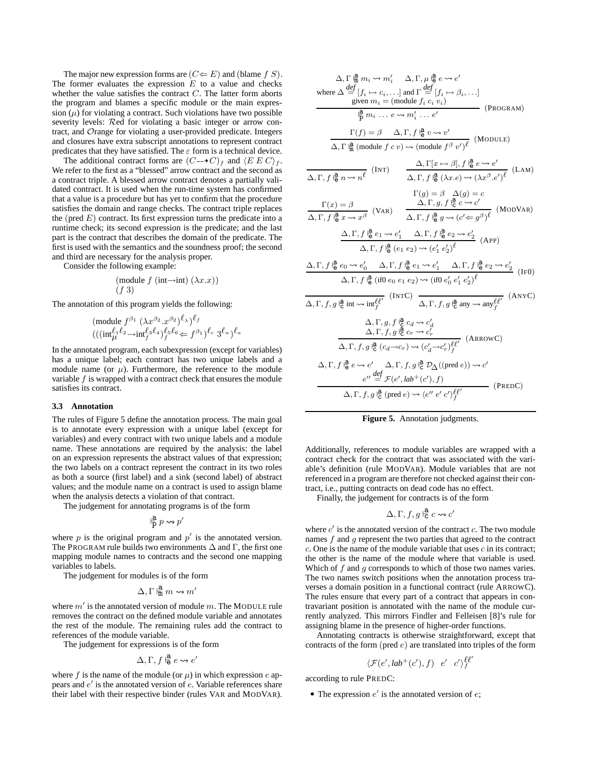The major new expression forms are  $(C \leftarrow E)$  and (blame f S). The former evaluates the expression  $E$  to a value and checks whether the value satisfies the contract  $C$ . The latter form aborts the program and blames a specific module or the main expression  $(\mu)$  for violating a contract. Such violations have two possible severity levels: Red for violating a basic integer or arrow contract, and Orange for violating a user-provided predicate. Integers and closures have extra subscript annotations to represent contract predicates that they have satisfied. The  $\varepsilon$  form is a technical device.

The additional contract forms are  $(C \rightarrow C)_f$  and  $\langle E E C \rangle_f$ . We refer to the first as a "blessed" arrow contract and the second as a contract triple. A blessed arrow contract denotes a partially validated contract. It is used when the run-time system has confirmed that a value is a procedure but has yet to confirm that the procedure satisfies the domain and range checks. The contract triple replaces the (pred  $E$ ) contract. Its first expression turns the predicate into a runtime check; its second expression is the predicate; and the last part is the contract that describes the domain of the predicate. The first is used with the semantics and the soundness proof; the second and third are necessary for the analysis proper.

Consider the following example:

(module f (int→int) (λx.x)) (f 3)

The annotation of this program yields the following:

$$
\begin{array}{l}(\mathrm{module}\;f^{\beta_{1}}\;(\lambda x^{\beta_{2}}.x^{\beta_{2}})^{\ell_{\lambda}})^{\ell_{f}}\\((\mathrm{int}_{\mu}^{\ell_{1}\ell_{2}}\hspace{-0.5mm}-\hspace{-0.5mm}\mathrm{int}_{f}^{\ell_{3}\ell_{4}})^{\ell_{5}\ell_{6}}\hspace{-0.5mm}\in f^{\beta_{1}})^{\ell_{c}}\;3^{\ell_{n}})^{\ell_{a}}\end{array}
$$

In the annotated program, each subexpression (except for variables) has a unique label; each contract has two unique labels and a module name (or  $\mu$ ). Furthermore, the reference to the module variable f is wrapped with a contract check that ensures the module satisfies its contract.

#### **3.3 Annotation**

The rules of Figure 5 define the annotation process. The main goal is to annotate every expression with a unique label (except for variables) and every contract with two unique labels and a module name. These annotations are required by the analysis: the label on an expression represents the abstract values of that expression; the two labels on a contract represent the contract in its two roles as both a source (first label) and a sink (second label) of abstract values; and the module name on a contract is used to assign blame when the analysis detects a violation of that contract.

The judgement for annotating programs is of the form

$$
\mathop{\rm P}\limits^{\bf a} p\leadsto p'
$$

where  $p$  is the original program and  $p'$  is the annotated version. The PROGRAM rule builds two environments  $\Delta$  and  $\Gamma$ , the first one mapping module names to contracts and the second one mapping variables to labels.

The judgement for modules is of the form

$$
\Delta, \Gamma \Vdash^{\mathbf{a}}_{\mathbf{m}} m \leadsto m'
$$

where  $m'$  is the annotated version of module m. The MODULE rule removes the contract on the defined module variable and annotates the rest of the module. The remaining rules add the contract to references of the module variable.

The judgement for expressions is of the form

$$
\Delta, \Gamma, f \models_{\mathbf{e}}^{\mathbf{a}} e \leadsto e'
$$

where f is the name of the module (or  $\mu$ ) in which expression e appears and  $e'$  is the annotated version of  $e$ . Variable references share their label with their respective binder (rules VAR and MODVAR).

$$
\Delta, \Gamma, \frac{\mu}{n} m_i \rightsquigarrow m'_i \quad \Delta, \Gamma, \mu \frac{\partial}{\partial} e \rightsquigarrow e'
$$
\nwhere 
$$
\Delta \frac{def}{=} [f_i \mapsto c_i, \ldots]
$$
 and 
$$
\Gamma \frac{def}{=} [f_i \mapsto \beta_i, \ldots]
$$
\n
$$
\frac{\text{given } m_i = (\text{module } f_i \ c_i \ v_i)}{\beta m_i \ldots e \rightsquigarrow m'_i \ldots e'}
$$
\n
$$
\frac{\Gamma(f) = \beta \quad \Delta, \Gamma, f \frac{\partial}{\partial} v \rightsquigarrow v'}{\Delta, \Gamma, \frac{\partial}{\partial} \frac{\partial}{\partial} n \rightsquigarrow n e'}
$$
\n
$$
\frac{\Gamma(f) = \beta \quad \Delta, \Gamma, f \frac{\partial}{\partial} v \rightsquigarrow v'}{\Delta, \Gamma, f \frac{\partial}{\partial} (v \rightsquigarrow v) \sim (\text{module } f^{\beta} v')^{\ell}} \quad (\text{MoDULE})
$$
\n
$$
\frac{\Delta, \Gamma[x \mapsto \beta], f \frac{\partial}{\partial} e \rightsquigarrow e'}{\Delta, \Gamma, f \frac{\partial}{\partial} n \rightsquigarrow n e'}
$$
\n
$$
\frac{\Gamma(g) = \beta \quad \Delta(g) = c}{\Delta, \Gamma, g, f \frac{\partial}{\partial} c \rightsquigarrow c'}
$$
\n
$$
\frac{\Delta, \Gamma, f \frac{\partial}{\partial} e \sim e'}{\Delta, \Gamma, f \frac{\partial}{\partial} e \sim e'}
$$
\n
$$
\frac{\Delta, \Gamma, f \frac{\partial}{\partial} e \cdot \Delta e'}{\Delta, \Gamma, f \frac{\partial}{\partial} e \cdot \Delta e' \Delta e' \Delta e'}
$$
\n
$$
\frac{\Delta, \Gamma, f \frac{\partial}{\partial} e \cdot \Delta e'}{\Delta, \Gamma, f \frac{\partial}{\partial} (e_1 e_2) \rightsquigarrow (e'_1 e'_2)^{\ell}} \quad (\text{ApP})
$$
\n
$$
\Delta, \Gamma, f \frac{\partial}{\partial} (e_1 e_2) \rightsquigarrow (e'_1 e'_2)^{\ell}
$$
\n
$$
\frac{\Delta, \Gamma, f \frac{\partial}{\partial} e \cdot \Delta e'}{\Delta, \Gamma, f, g \frac{\partial}{\partial} (e_1 e_2) \sim (\frac{e'_1}{e
$$



Additionally, references to module variables are wrapped with a contract check for the contract that was associated with the variable's definition (rule MODVAR). Module variables that are not referenced in a program are therefore not checked against their contract, i.e., putting contracts on dead code has no effect.

Finally, the judgement for contracts is of the form

$$
\Delta, \Gamma, f, g \not\stackrel{\bf a}{\mathbf c} c \leadsto c'
$$

where  $c'$  is the annotated version of the contract  $c$ . The two module names  $f$  and  $q$  represent the two parties that agreed to the contract  $c$ . One is the name of the module variable that uses  $c$  in its contract; the other is the name of the module where that variable is used. Which of  $f$  and  $g$  corresponds to which of those two names varies. The two names switch positions when the annotation process traverses a domain position in a functional contract (rule ARROWC). The rules ensure that every part of a contract that appears in contravariant position is annotated with the name of the module currently analyzed. This mirrors Findler and Felleisen [8]'s rule for assigning blame in the presence of higher-order functions.

Annotating contracts is otherwise straightforward, except that contracts of the form (pred  $e$ ) are translated into triples of the form

$$
\langle \mathcal{F}(e', lab^+(c'), f) \quad e' \quad c' \rangle_f^{\ell \ell}
$$

0

according to rule PREDC:

• The expression  $e'$  is the annotated version of  $e$ ;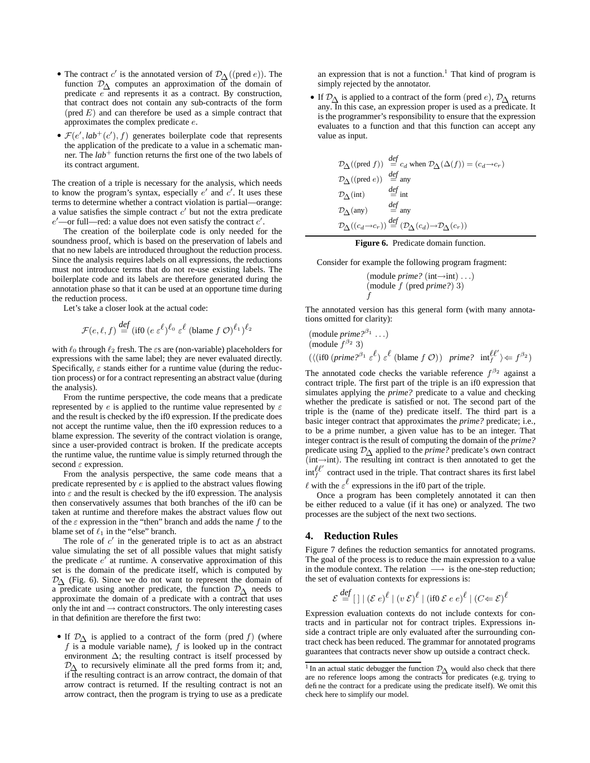- The contract c' is the annotated version of  $\mathcal{D}_{\Delta}((\text{pred } e))$ . The function  $\mathcal{D}_{\Delta}$  computes an approximation of the domain of predicate  $e^-$  and represents it as a contract. By construction, that contract does not contain any sub-contracts of the form  $(pred E)$  and can therefore be used as a simple contract that approximates the complex predicate e.
- $\mathcal{F}(e', lab^+(c'), f)$  generates boilerplate code that represents the application of the predicate to a value in a schematic manner. The *lab*<sup>+</sup> function returns the first one of the two labels of its contract argument.

The creation of a triple is necessary for the analysis, which needs to know the program's syntax, especially  $e'$  and  $c'$ . It uses these terms to determine whether a contract violation is partial—orange: a value satisfies the simple contract  $c'$  but not the extra predicate  $e'$ —or full—red: a value does not even satisfy the contract  $c'$ .

The creation of the boilerplate code is only needed for the soundness proof, which is based on the preservation of labels and that no new labels are introduced throughout the reduction process. Since the analysis requires labels on all expressions, the reductions must not introduce terms that do not re-use existing labels. The boilerplate code and its labels are therefore generated during the annotation phase so that it can be used at an opportune time during the reduction process.

Let's take a closer look at the actual code:

$$
\mathcal{F}(e,\ell,f) \stackrel{\text{def}}{=} (\text{if} 0 \ (e \ \varepsilon^{\ell})^{\ell_0} \ \varepsilon^{\ell} \ (\text{blame } f \ \mathcal{O})^{\ell_1})^{\ell_2}
$$

with  $\ell_0$  through  $\ell_2$  fresh. The  $\varepsilon$ s are (non-variable) placeholders for expressions with the same label; they are never evaluated directly. Specifically,  $\varepsilon$  stands either for a runtime value (during the reduction process) or for a contract representing an abstract value (during the analysis).

From the runtime perspective, the code means that a predicate represented by e is applied to the runtime value represented by  $\varepsilon$ and the result is checked by the if0 expression. If the predicate does not accept the runtime value, then the if0 expression reduces to a blame expression. The severity of the contract violation is orange, since a user-provided contract is broken. If the predicate accepts the runtime value, the runtime value is simply returned through the second  $\varepsilon$  expression.

From the analysis perspective, the same code means that a predicate represented by  $e$  is applied to the abstract values flowing into  $\varepsilon$  and the result is checked by the if0 expression. The analysis then conservatively assumes that both branches of the if0 can be taken at runtime and therefore makes the abstract values flow out of the  $\varepsilon$  expression in the "then" branch and adds the name  $f$  to the blame set of  $\ell_1$  in the "else" branch.

The role of  $c'$  in the generated triple is to act as an abstract value simulating the set of all possible values that might satisfy the predicate  $e'$  at runtime. A conservative approximation of this set is the domain of the predicate itself, which is computed by  $\mathcal{D}_{\Lambda}$  (Fig. 6). Since we do not want to represent the domain of a predicate using another predicate, the function  $\mathcal{D}_{\Lambda}$  needs to approximate the domain of a predicate with a contract that uses only the int and  $\rightarrow$  contract constructors. The only interesting cases in that definition are therefore the first two:

• If  $\mathcal{D}_{\Lambda}$  is applied to a contract of the form (pred f) (where f is a module variable name), f is looked up in the contract environment  $\Delta$ ; the resulting contract is itself processed by  $\mathcal{D}_{\Lambda}$  to recursively eliminate all the pred forms from it; and, if the resulting contract is an arrow contract, the domain of that arrow contract is returned. If the resulting contract is not an arrow contract, then the program is trying to use as a predicate

an expression that is not a function.<sup>1</sup> That kind of program is simply rejected by the annotator.

• If  $\mathcal{D}_{\Delta}$  is applied to a contract of the form (pred e),  $\mathcal{D}_{\Delta}$  returns any. In this case, an expression proper is used as a predicate. It is the programmer's responsibility to ensure that the expression evaluates to a function and that this function can accept any value as input.

$$
\begin{array}{l} \mathcal{D}_{\Delta}((\text{pred } f)) \stackrel{def}{=} c_d \text{ when } \mathcal{D}_{\Delta}(\Delta(f)) = (c_d \mathbin{\multimap} c_r) \\ \mathcal{D}_{\Delta}((\text{pred } e)) \stackrel{def}{=} \text{any} \\ \mathcal{D}_{\Delta}(\text{int}) \stackrel{def}{=} \text{int} \\ \mathcal{D}_{\Delta}(\text{any}) \stackrel{def}{=} \text{any} \\ \mathcal{D}_{\Delta}((c_d \mathbin{\multimap} c_r)) \stackrel{def}{=} (\mathcal{D}_{\Delta}(c_d) \mathbin{\multimap} \mathcal{D}_{\Delta}(c_r)) \end{array}
$$



Consider for example the following program fragment:

(module *prime?* (int
$$
\rightarrow
$$
int). . .)  
(module *f* (pred *prime?*) 3)  
*f*

The annotated version has this general form (with many annotations omitted for clarity):

(module *prime*<sup>$$
\beta
$$</sup><sup>9</sup> 3)  
\n
$$
(\text{modulo } f^{\beta_2} 3) \quad (\langle \text{if } 0 \text{ (prime } \beta^{\beta_1} \varepsilon^{\ell}) \varepsilon^{\ell} \text{ (blame } f \text{ } \mathcal{O}) ) \quad \text{prime?} \quad \text{int}^{\ell \ell'} \rangle \leftarrow f^{\beta_2})
$$

The annotated code checks the variable reference  $f^{\beta_2}$  against a contract triple. The first part of the triple is an if0 expression that simulates applying the *prime?* predicate to a value and checking whether the predicate is satisfied or not. The second part of the triple is the (name of the) predicate itself. The third part is a basic integer contract that approximates the *prime?* predicate; i.e., to be a prime number, a given value has to be an integer. That integer contract is the result of computing the domain of the *prime?* predicate using D∆ applied to the *prime?* predicate's own contract  $(int \rightarrow int)$ . The resulting int contract is then annotated to get the  $\int_{f}^{\ell \ell'}$  contract used in the triple. That contract shares its first label

 $\ell$  with the  $\varepsilon^{\ell}$  expressions in the if0 part of the triple.

Once a program has been completely annotated it can then be either reduced to a value (if it has one) or analyzed. The two processes are the subject of the next two sections.

#### **4. Reduction Rules**

Figure 7 defines the reduction semantics for annotated programs. The goal of the process is to reduce the main expression to a value in the module context. The relation  $\longrightarrow$  is the one-step reduction; the set of evaluation contexts for expressions is:

$$
\mathcal{E} \stackrel{\text{def}}{=} [ ] \mid (\mathcal{E} e)^{\ell} \mid (v \mathcal{E})^{\ell} \mid (\text{if} 0 \mathcal{E} e e)^{\ell} \mid (C \leftarrow \mathcal{E})^{\ell}
$$

Expression evaluation contexts do not include contexts for contracts and in particular not for contract triples. Expressions inside a contract triple are only evaluated after the surrounding contract check has been reduced. The grammar for annotated programs guarantees that contracts never show up outside a contract check.

<sup>&</sup>lt;sup>1</sup> In an actual static debugger the function  $\mathcal{D}_{\Delta}$  would also check that there are no reference loops among the contracts for predicates (e.g. trying to define the contract for a predicate using the predicate itself). We omit this check here to simplify our model.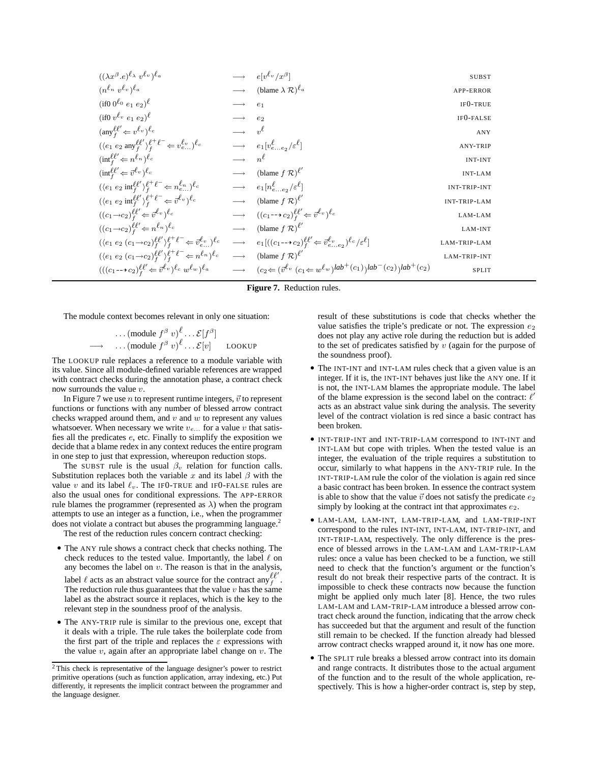| $((\lambda x^{\beta}.e)^{\ell_{\lambda}} v^{\ell_{v}})^{\ell_{a}}$                                                                   |                                                 | $\longrightarrow$ $e[v^{\ell_v}/x^{\beta}]$                                                                   | <b>SUBST</b>           |
|--------------------------------------------------------------------------------------------------------------------------------------|-------------------------------------------------|---------------------------------------------------------------------------------------------------------------|------------------------|
| $(n^{\ell_n} v^{\ell_v})^{\ell_a}$                                                                                                   |                                                 | $\longrightarrow$ (blame $\lambda \mathcal{R}$ ) <sup><math>\ell_a</math></sup>                               | <b>APP-ERROR</b>       |
| $(i100^{\ell_0}e_1e_2)^{\ell}$                                                                                                       | $\longrightarrow$                               | e <sub>1</sub>                                                                                                | IF <sub>0</sub> -TRUE  |
| $(i$ f0 $v^{\ell_v}$ $e_1$ $e_2)^{\ell_v}$                                                                                           | $\longrightarrow$                               | $e_2$                                                                                                         | IF <sub>0</sub> -FALSE |
| $(\text{any}^{\ell\ell'}_{f} \Leftarrow v^{\ell_v})^{\ell_c}$                                                                        | $\longrightarrow v^{\ell}$                      |                                                                                                               | ANY                    |
| $(\langle e_1\ e_2\ \text{any}^{\ell\ell'}_\textit{f}\rangle^{\ell^+\ell^-}_\textit{f} \Leftarrow v^{\ell_v}_{e})^{\ell_c}$          |                                                 | $\longrightarrow$ $e_1[v_{ee_2}^{\ell}/\varepsilon^{\ell}]$                                                   | <b>ANY-TRIP</b>        |
| $(\text{int}_f^{\ell \ell'} \Leftarrow n^{\ell_n})^{\ell_c}$                                                                         | $\longrightarrow$ $n^{\ell}$                    |                                                                                                               | <b>INT-INT</b>         |
| $(\text{int}_f^{\ell \ell'} \Leftarrow \vec{v}^{\ell_v})^{\ell_c}$                                                                   |                                                 | $\longrightarrow$ (blame $f \mathcal{R}$ ) <sup><math>\ell'</math></sup>                                      | <b>INT-LAM</b>         |
| $(\langle e_1\; e_2\; \text{int}^{\ell\ell'}_f\rangle^{\ell^+\ell^-}_f\!\Leftarrow n^{\ell_n}_{e})^{\ell_c}$                         |                                                 | $\longrightarrow$ $e_1[n_{ee}^{\ell},\epsilon^{\ell}]$                                                        | <b>INT-TRIP-INT</b>    |
| $(\langle e_1\;e_2\;\text{int}^{\ell\ell'}_f\rangle^{\ell^+\ell^-}_f\!\Leftarrow\vec{v}^{\ell_v})^{\ell_c}$                          |                                                 | $\longrightarrow$ (blame $f \mathcal{R}$ ) $\ell'$                                                            | <b>INT-TRIP-LAM</b>    |
| $((c_1\rightarrow c_2)_{f}^{\ell\ell'}\Leftarrow \vec{v}^{\ell_v})^{\ell_c}$                                                         |                                                 | $\longrightarrow$ $((c_1 \rightarrow c_2)_{f}^{\ell \ell'} \leftarrow \vec{v}^{\ell_v})_{c}^{\ell_c}$         | LAM-LAM                |
| $((c_1 \rightarrow c_2)_{f}^{\ell \ell'} \leftarrow n^{\ell_n})_{c}^{\ell}$                                                          | $\longrightarrow$                               | (blame $f \mathcal{R}$ ) $\ell'$                                                                              | LAM-INT                |
| $(\langle e_1\;e_2\; (c_1{\rightarrow} c_2)_{f}^{\ell\ell'} \rangle_{f}^{\ell^+ \ell^-} \!\Leftarrow \vec{v}^{\ell_v}_{e})^{\ell_c}$ | $\longrightarrow$                               | $e_1[((c_1 \rightarrow c_2)\ell'_{f} \leftarrow \vec{v}_{ee_2}^{\ell_v})^{\ell_c}/\varepsilon^{\ell}]$        | LAM-TRIP-LAM           |
| $({\langle e_1 e_2 (c_1 \rightarrow c_2)_{f}^{\ell \ell'} \rangle}_{f}^{\ell^+ \ell^-} \Leftarrow n^{\ell_n})^{\ell_c}$              | $\hspace{0.1cm} \longrightarrow \hspace{0.1cm}$ | (blame $f \mathcal{R}$ ) $\ell'$                                                                              | LAM-TRIP-INT           |
| $(((c_1-\!\!\rightarrow\! c_2)_{f}^{\ell\ell'}\!\Leftarrow\vec{v}^{\ell_v})^{\ell_c}\;w^{\ell_w})^{\ell_a}$                          | $\longrightarrow$                               | $(c_2 \leftarrow (\vec{v}^{\ell_v} \ (c_1 \leftarrow w^{\ell_w})^{lab + (c_1)})^{lab - (c_2)})^{lab + (c_2)}$ | SPLIT                  |

**Figure 7.** Reduction rules.

The module context becomes relevant in only one situation:

$$
\cdots \text{ (module } f^{\beta} v)^{\ell} \cdots \mathcal{E}[f^{\beta}]
$$
  

$$
\longrightarrow \cdots \text{ (module } f^{\beta} v)^{\ell} \cdots \mathcal{E}[v] \qquad \text{LOOKUP}
$$

The LOOKUP rule replaces a reference to a module variable with its value. Since all module-defined variable references are wrapped with contract checks during the annotation phase, a contract check now surrounds the value v.

In Figure 7 we use *n* to represent runtime integers,  $\vec{v}$  to represent functions or functions with any number of blessed arrow contract checks wrapped around them, and  $v$  and  $w$  to represent any values whatsoever. When necessary we write  $v_{e...}$  for a value v that satisfies all the predicates e, etc. Finally to simplify the exposition we decide that a blame redex in any context reduces the entire program in one step to just that expression, whereupon reduction stops.

The SUBST rule is the usual  $\beta_v$  relation for function calls. Substitution replaces both the variable x and its label  $\beta$  with the value v and its label  $\ell_v$ . The IFO-TRUE and IFO-FALSE rules are also the usual ones for conditional expressions. The APP-ERROR rule blames the programmer (represented as  $\lambda$ ) when the program attempts to use an integer as a function, i.e., when the programmer does not violate a contract but abuses the programming language.<sup>2</sup>

The rest of the reduction rules concern contract checking:

- The ANY rule shows a contract check that checks nothing. The check reduces to the tested value. Importantly, the label  $\ell$  on any becomes the label on  $v$ . The reason is that in the analysis, label  $\ell$  acts as an abstract value source for the contract any  $\ell^{l'}$ . The reduction rule thus guarantees that the value  $v$  has the same label as the abstract source it replaces, which is the key to the relevant step in the soundness proof of the analysis.
- The ANY-TRIP rule is similar to the previous one, except that it deals with a triple. The rule takes the boilerplate code from the first part of the triple and replaces the  $\varepsilon$  expressions with the value  $v$ , again after an appropriate label change on  $v$ . The

result of these substitutions is code that checks whether the value satisfies the triple's predicate or not. The expression  $e_2$ does not play any active role during the reduction but is added to the set of predicates satisfied by  $v$  (again for the purpose of the soundness proof).

- The INT-INT and INT-LAM rules check that a given value is an integer. If it is, the INT-INT behaves just like the ANY one. If it is not, the INT-LAM blames the appropriate module. The label of the blame expression is the second label on the contract:  $\ell'$ acts as an abstract value sink during the analysis. The severity level of the contract violation is red since a basic contract has been broken.
- INT-TRIP-INT and INT-TRIP-LAM correspond to INT-INT and INT-LAM but cope with triples. When the tested value is an integer, the evaluation of the triple requires a substitution to occur, similarly to what happens in the ANY-TRIP rule. In the INT-TRIP-LAM rule the color of the violation is again red since a basic contract has been broken. In essence the contract system is able to show that the value  $\vec{v}$  does not satisfy the predicate  $e_2$ simply by looking at the contract int that approximates  $e_2$ .
- LAM-LAM, LAM-INT, LAM-TRIP-LAM, and LAM-TRIP-INT correspond to the rules INT-INT, INT-LAM, INT-TRIP-INT, and INT-TRIP-LAM, respectively. The only difference is the presence of blessed arrows in the LAM-LAM and LAM-TRIP-LAM rules: once a value has been checked to be a function, we still need to check that the function's argument or the function's result do not break their respective parts of the contract. It is impossible to check these contracts now because the function might be applied only much later [8]. Hence, the two rules LAM-LAM and LAM-TRIP-LAM introduce a blessed arrow contract check around the function, indicating that the arrow check has succeeded but that the argument and result of the function still remain to be checked. If the function already had blessed arrow contract checks wrapped around it, it now has one more.
- The SPLIT rule breaks a blessed arrow contract into its domain and range contracts. It distributes those to the actual argument of the function and to the result of the whole application, respectively. This is how a higher-order contract is, step by step,

<sup>2</sup> This check is representative of the language designer's power to restrict primitive operations (such as function application, array indexing, etc.) Put differently, it represents the implicit contract between the programmer and the language designer.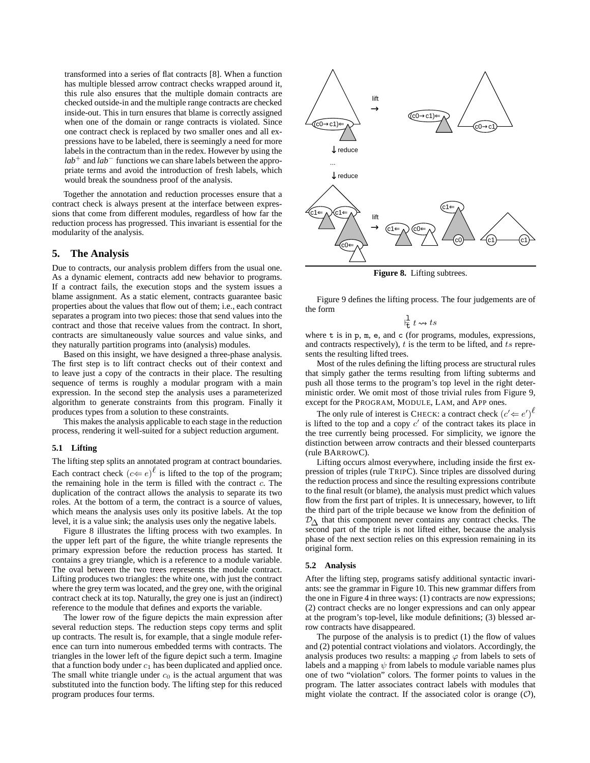transformed into a series of flat contracts [8]. When a function has multiple blessed arrow contract checks wrapped around it, this rule also ensures that the multiple domain contracts are checked outside-in and the multiple range contracts are checked inside-out. This in turn ensures that blame is correctly assigned when one of the domain or range contracts is violated. Since one contract check is replaced by two smaller ones and all expressions have to be labeled, there is seemingly a need for more labels in the contractum than in the redex. However by using the *lab*<sup>+</sup> and *lab*<sup>−</sup> functions we can share labels between the appropriate terms and avoid the introduction of fresh labels, which would break the soundness proof of the analysis.

Together the annotation and reduction processes ensure that a contract check is always present at the interface between expressions that come from different modules, regardless of how far the reduction process has progressed. This invariant is essential for the modularity of the analysis.

## **5. The Analysis**

Due to contracts, our analysis problem differs from the usual one. As a dynamic element, contracts add new behavior to programs. If a contract fails, the execution stops and the system issues a blame assignment. As a static element, contracts guarantee basic properties about the values that flow out of them; i.e., each contract separates a program into two pieces: those that send values into the contract and those that receive values from the contract. In short, contracts are simultaneously value sources and value sinks, and they naturally partition programs into (analysis) modules.

Based on this insight, we have designed a three-phase analysis. The first step is to lift contract checks out of their context and to leave just a copy of the contracts in their place. The resulting sequence of terms is roughly a modular program with a main expression. In the second step the analysis uses a parameterized algorithm to generate constraints from this program. Finally it produces types from a solution to these constraints.

This makes the analysis applicable to each stage in the reduction process, rendering it well-suited for a subject reduction argument.

#### **5.1 Lifting**

The lifting step splits an annotated program at contract boundaries. Each contract check  $(c \Leftarrow e)^{\ell}$  is lifted to the top of the program; the remaining hole in the term is filled with the contract  $c$ . The duplication of the contract allows the analysis to separate its two roles. At the bottom of a term, the contract is a source of values, which means the analysis uses only its positive labels. At the top level, it is a value sink; the analysis uses only the negative labels.

Figure 8 illustrates the lifting process with two examples. In the upper left part of the figure, the white triangle represents the primary expression before the reduction process has started. It contains a grey triangle, which is a reference to a module variable. The oval between the two trees represents the module contract. Lifting produces two triangles: the white one, with just the contract where the grey term was located, and the grey one, with the original contract check at its top. Naturally, the grey one is just an (indirect) reference to the module that defines and exports the variable.

The lower row of the figure depicts the main expression after several reduction steps. The reduction steps copy terms and split up contracts. The result is, for example, that a single module reference can turn into numerous embedded terms with contracts. The triangles in the lower left of the figure depict such a term. Imagine that a function body under  $c_1$  has been duplicated and applied once. The small white triangle under  $c_0$  is the actual argument that was substituted into the function body. The lifting step for this reduced program produces four terms.



**Figure 8.** Lifting subtrees.

Figure 9 defines the lifting process. The four judgements are of the form

$$
\frac{1}{t} t \leadsto ts
$$

where t is in p, m, e, and c (for programs, modules, expressions, and contracts respectively),  $t$  is the term to be lifted, and  $ts$  represents the resulting lifted trees.

Most of the rules defining the lifting process are structural rules that simply gather the terms resulting from lifting subterms and push all those terms to the program's top level in the right deterministic order. We omit most of those trivial rules from Figure 9, except for the PROGRAM, MODULE, LAM, and APP ones.

The only rule of interest is CHECK: a contract check  $(c' \leftarrow e')^{\ell}$ is lifted to the top and a copy  $c'$  of the contract takes its place in the tree currently being processed. For simplicity, we ignore the distinction between arrow contracts and their blessed counterparts (rule BARROWC).

Lifting occurs almost everywhere, including inside the first expression of triples (rule TRIPC). Since triples are dissolved during the reduction process and since the resulting expressions contribute to the final result (or blame), the analysis must predict which values flow from the first part of triples. It is unnecessary, however, to lift the third part of the triple because we know from the definition of  $D_{\Lambda}$  that this component never contains any contract checks. The second part of the triple is not lifted either, because the analysis phase of the next section relies on this expression remaining in its original form.

#### **5.2 Analysis**

After the lifting step, programs satisfy additional syntactic invariants: see the grammar in Figure 10. This new grammar differs from the one in Figure 4 in three ways: (1) contracts are now expressions; (2) contract checks are no longer expressions and can only appear at the program's top-level, like module definitions; (3) blessed arrow contracts have disappeared.

The purpose of the analysis is to predict (1) the flow of values and (2) potential contract violations and violators. Accordingly, the analysis produces two results: a mapping  $\varphi$  from labels to sets of labels and a mapping  $\psi$  from labels to module variable names plus one of two "violation" colors. The former points to values in the program. The latter associates contract labels with modules that might violate the contract. If the associated color is orange  $(0)$ ,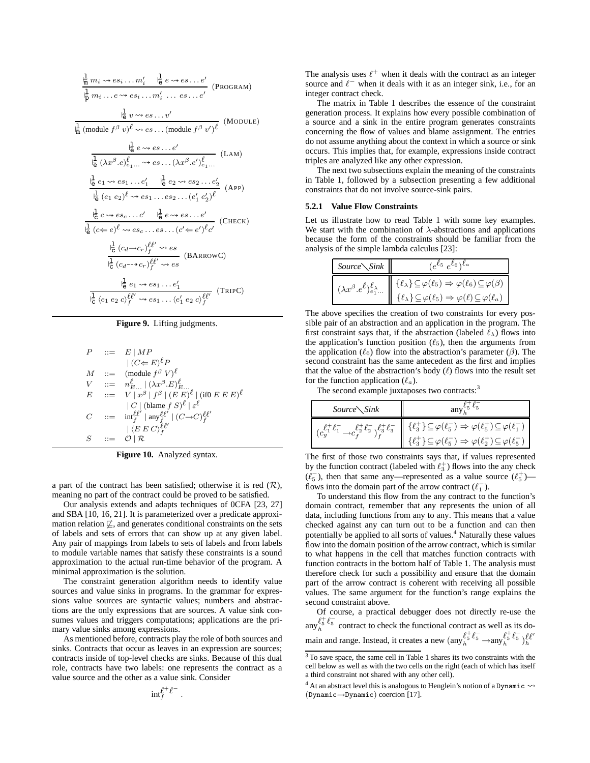$$
\frac{\frac{1}{m}m_i \rightsquigarrow es_i \dots m'_i \quad \frac{1}{\theta} e \rightsquigarrow es \dots e'}{\frac{1}{p}m_i \dots e \rightsquigarrow es_i \dots m'_i \dots es \dots e'}
$$
 (PROGRAM)

 $\frac{1}{e} v \rightsquigarrow es \dots v'$ ¦≑ l m (module  $f^{\beta} v$ ) $^{\ell} \rightsquigarrow es \dots$  (module  $f^{\beta} v'$ ) $^{\ell}$ (MODULE)

$$
\frac{\frac{1}{\mathsf{I}_{\mathsf{G}}}( \lambda x^{\beta} \cdot e)_{e_1...}^{\ell} \rightarrow e \text{ s...} e'}{\frac{1}{\mathsf{I}_{\mathsf{G}}}( \lambda x^{\beta} \cdot e)_{e_1...}^{\ell} \rightarrow e \text{ s...} \left( \lambda x^{\beta} \cdot e' \right)_{e_1...}^{\ell}} \quad \text{(LAM)}
$$
\n
$$
\frac{\frac{1}{\mathsf{I}_{\mathsf{G}}}(e_1 \sim e \text{ s}_1 ... e'_1 \quad \frac{1}{\mathsf{I}_{\mathsf{G}}}(e_2 \sim e \text{ s}_2 ... e'_2)}{\frac{1}{\mathsf{I}_{\mathsf{G}}}(e_1 \, e_2)^{\ell} \rightarrow e \text{ s}_1 ... e \text{ s}_2 ... (e'_1 \, e'_2)^{\ell}} \quad \text{(APP)}
$$
\n
$$
\frac{\frac{1}{\mathsf{I}_{\mathsf{G}}}(c \rightarrow e \text{ s} \cdot c \cdot c' \quad \frac{1}{\mathsf{I}_{\mathsf{G}}}(e \rightarrow e \text{ s} \cdot c \cdot c \cdot c')}{\frac{1}{\mathsf{I}_{\mathsf{G}}}(c_{\mathsf{G}} \rightarrow c \cdot c)_{f}^{\ell} \rightarrow e \text{ s}} \quad \text{(BARrowC)}
$$
\n
$$
\frac{\frac{1}{\mathsf{I}_{\mathsf{G}}}(c_{\mathsf{d}} \rightarrow c \cdot c)_{f}^{\ell} \rightarrow e \text{ s}}{\frac{1}{\mathsf{I}_{\mathsf{G}}}(c_{\mathsf{d}} \rightarrow e \text{ s}_1 ... e'_1 \quad \text{(IRIPC)}
$$

#### **Figure 9.** Lifting judgments.

$$
P ::= E | MP
$$
  
\n
$$
| (C \Leftarrow E)^{\ell} P
$$
  
\n
$$
M ::= m_{E...}^{\ell} | (\lambda x^{\beta} . E)^{\ell}.
$$
  
\n
$$
V ::= n_{E...}^{\ell} | (\lambda x^{\beta} . E)^{\ell}.
$$
  
\n
$$
E ::= V | x^{\beta} | f^{\beta} | (E E)^{\ell} | (\text{if} 0 E E E)^{\ell}
$$
  
\n
$$
| C | (\text{blame } f S)^{\ell} | \varepsilon^{\ell}
$$
  
\n
$$
C ::= m_{f}^{\ell \ell'} | \text{any}_{f}^{\ell \ell'} | (C \rightarrow C)^{\ell \ell'}.
$$
  
\n
$$
S ::= O | R
$$

**Figure 10.** Analyzed syntax.

a part of the contract has been satisfied; otherwise it is red  $(\mathcal{R})$ , meaning no part of the contract could be proved to be satisfied.

Our analysis extends and adapts techniques of 0CFA [23, 27] and SBA [10, 16, 21]. It is parameterized over a predicate approximation relation  $\not\sqsubseteq$ , and generates conditional constraints on the sets of labels and sets of errors that can show up at any given label. Any pair of mappings from labels to sets of labels and from labels to module variable names that satisfy these constraints is a sound approximation to the actual run-time behavior of the program. A minimal approximation is the solution.

The constraint generation algorithm needs to identify value sources and value sinks in programs. In the grammar for expressions value sources are syntactic values; numbers and abstractions are the only expressions that are sources. A value sink consumes values and triggers computations; applications are the primary value sinks among expressions.

As mentioned before, contracts play the role of both sources and sinks. Contracts that occur as leaves in an expression are sources; contracts inside of top-level checks are sinks. Because of this dual role, contracts have two labels: one represents the contract as a value source and the other as a value sink. Consider

> $\inf_{f}^{\ell^+ \ell^-}$  $\begin{array}{cc} \epsilon & \epsilon \ f & \ \ \ \ \end{array}$

The analysis uses  $\ell^+$  when it deals with the contract as an integer source and  $\ell^-$  when it deals with it as an integer sink, i.e., for an integer contract check.

The matrix in Table 1 describes the essence of the constraint generation process. It explains how every possible combination of a source and a sink in the entire program generates constraints concerning the flow of values and blame assignment. The entries do not assume anything about the context in which a source or sink occurs. This implies that, for example, expressions inside contract triples are analyzed like any other expression.

The next two subsections explain the meaning of the constraints in Table 1, followed by a subsection presenting a few additional constraints that do not involve source-sink pairs.

#### **5.2.1 Value Flow Constraints**

Let us illustrate how to read Table 1 with some key examples. We start with the combination of  $\lambda$ -abstractions and applications because the form of the constraints should be familiar from the analysis of the simple lambda calculus [23]:

| $Source\diagdown\textit{Sink}$ | $(e^{\ell_5}e^{\ell_6})^{\ell_a}$                                                                                                                                                                                                                                                                                                                                |
|--------------------------------|------------------------------------------------------------------------------------------------------------------------------------------------------------------------------------------------------------------------------------------------------------------------------------------------------------------------------------------------------------------|
|                                | $\left(\lambda x^{\beta} . e^{\ell} \right)_{\epsilon_1 }^{\ell_{\lambda}} \left\  \begin{array}{c} {\{\ell_{\lambda}\}} \subseteq \varphi(\overline{\ell_5}) \Rightarrow \varphi(\overline{\ell_6}) \subseteq \varphi(\beta) \\ 0 & \end{array} \right\ $<br>$\{\ell_\lambda\}\!\subseteq\!\varphi(\ell_5)\Rightarrow\varphi(\ell)\!\subseteq\!\varphi(\ell_a)$ |

The above specifies the creation of two constraints for every possible pair of an abstraction and an application in the program. The first constraint says that, if the abstraction (labeled  $\ell_{\lambda}$ ) flows into the application's function position  $(\ell_5)$ , then the arguments from the application ( $\ell_6$ ) flow into the abstraction's parameter ( $\beta$ ). The second constraint has the same antecedent as the first and implies that the value of the abstraction's body  $(\ell)$  flows into the result set for the function application  $(\ell_a)$ .

The second example juxtaposes two contracts:<sup>3</sup>

| $Source\setminus Sink$ |                                                                                                                                                                                                                                                                                                                                                                 |  |  |
|------------------------|-----------------------------------------------------------------------------------------------------------------------------------------------------------------------------------------------------------------------------------------------------------------------------------------------------------------------------------------------------------------|--|--|
|                        | $\mathcal{E}^{\ell^+_{\mathcal{I}} \ell^-_{\mathcal{I}}} _f \mathcal{E}^+_{\mathcal{I}} \ell^-_{\mathcal{I}} \parallel \{\ell^+_{3}\} \subseteq \varphi(\ell^-_{5}) \Rightarrow \varphi(\ell^+_{5}) \subseteq \varphi(\ell^-_{1}) \newline \{\ell^+_{3}\} \subseteq \varphi(\ell^-_{5}) \Rightarrow \varphi(\ell^+_{2}) \subseteq \varphi(\ell^-_{5}) \newline$ |  |  |

The first of those two constraints says that, if values represented by the function contract (labeled with  $\ell_3^+$ ) flows into the any check  $(\ell_5^-)$ , then that same any—represented as a value source  $(\ell_5^+)$  flows into the domain part of the arrow contract  $(\ell_1^-)$ .

To understand this flow from the any contract to the function's domain contract, remember that any represents the union of all data, including functions from any to any. This means that a value checked against any can turn out to be a function and can then potentially be applied to all sorts of values.<sup>4</sup> Naturally these values flow into the domain position of the arrow contract, which is similar to what happens in the cell that matches function contracts with function contracts in the bottom half of Table 1. The analysis must therefore check for such a possibility and ensure that the domain part of the arrow contract is coherent with receiving all possible values. The same argument for the function's range explains the second constraint above.

Of course, a practical debugger does not directly re-use the  $\lim_{h \to 6^+} \ell_5^+$  contract to check the functional contract as well as its domain and range. Instead, it creates a new  $\left(\text{any}_h^{\ell^+_\mathcal{F}} \ell^-_\mathcal{F} \to \text{any}_h^{\ell^+_\mathcal{F}} \ell^-_\mathcal{F}\right)_{h}^{\ell \ell'}$ 

<sup>&</sup>lt;sup>3</sup> To save space, the same cell in Table 1 shares its two constraints with the cell below as well as with the two cells on the right (each of which has itself a third constraint not shared with any other cell).

 $4$  At an abstract level this is analogous to Henglein's notion of a Dynamic  $\rightsquigarrow$ (Dynamic→Dynamic) coercion [17].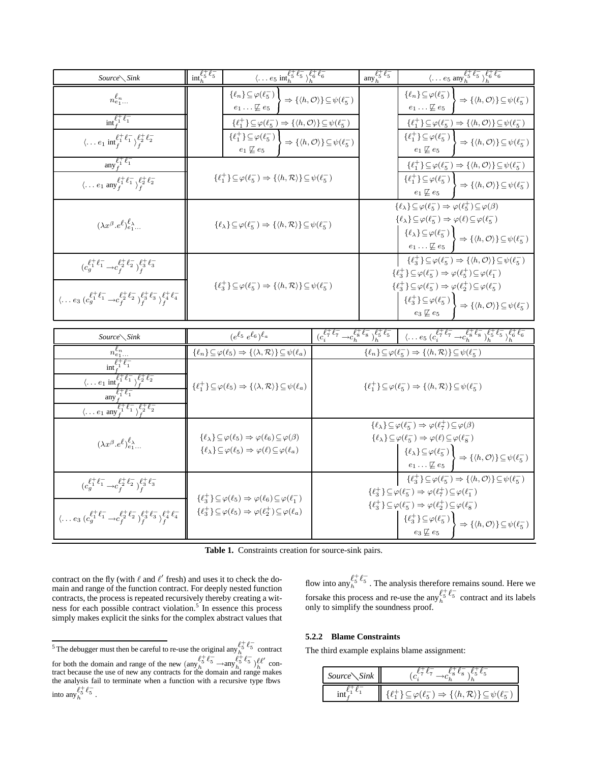| $Source\diagdown$ Sink                                                                                                                                                                                                                  | $int_{b}^{\ell_{5}^{+}\ell_{5}^{-}}$                                                                                     | $\langle \ldots e_5 \text{ int}_h^{\ell_5^+} \overline{\ell_5^-} \rangle_h^{\ell_6^+} \ell_6^-$                                                                                                      |                                                                           | any $\ell_5^+ \ell_5^-$ | $\langle \ldots e_5 \text{ any}_h^{\ell_5^+ \ell_5^-} \rangle_h^{\overline{\ell_6^+ \ell_6^-}}$                                                                                                                                                                                                                                                                                                                                                                      |
|-----------------------------------------------------------------------------------------------------------------------------------------------------------------------------------------------------------------------------------------|--------------------------------------------------------------------------------------------------------------------------|------------------------------------------------------------------------------------------------------------------------------------------------------------------------------------------------------|---------------------------------------------------------------------------|-------------------------|----------------------------------------------------------------------------------------------------------------------------------------------------------------------------------------------------------------------------------------------------------------------------------------------------------------------------------------------------------------------------------------------------------------------------------------------------------------------|
| $n_{e_1}^{\ell_n}$                                                                                                                                                                                                                      |                                                                                                                          | $\{\ell_n\} \subseteq \varphi(\ell_5^-)$<br>$e_1 \ldots \not\sqsubseteq e_5$                                                                                                                         | $\Rightarrow \{\langle h, \mathcal{O} \rangle\} \subseteq \psi(\ell_5^-)$ |                         | $\{\ell_n\} \subseteq \varphi(\ell_5^-)$<br>$\Rightarrow \{\langle h, \mathcal{O} \rangle\} \subseteq \psi(\ell_5^-)$<br>$e_1 \ldots \not\sqsubseteq e_5$                                                                                                                                                                                                                                                                                                            |
| $int_{c_1}^{\ell_1^+}$                                                                                                                                                                                                                  |                                                                                                                          | $\{\ell_1^+\}\subseteq\varphi(\ell_5^-)\Rightarrow\{\langle h,\mathcal{O}\rangle\}\subseteq\psi(\ell_5^-)$                                                                                           |                                                                           |                         | $\{\ell_1^+\}\subseteq\varphi(\ell_5^-)\Rightarrow\{\langle h,\mathcal{O}\rangle\}\subseteq\psi(\ell_5^-)$                                                                                                                                                                                                                                                                                                                                                           |
| $\langle \ldots e_1 \text{ int}_f^{\ell_1^+ \ell_1^-} \rangle_f^{\ell_2^+ \ell_2^-}$                                                                                                                                                    |                                                                                                                          | $\{\ell_1^+\}\subseteq\varphi(\ell_5^-)$<br>$e_1 \not\sqsubseteq e_5$                                                                                                                                | $\Rightarrow \{\langle h, \mathcal{O} \rangle\} \subseteq \psi(\ell_5^-)$ |                         | $\{\ell_1^+\}\!\subseteq\!\varphi(\ell_5^-)$<br>$\Rightarrow \{\langle h, \mathcal{O} \rangle\} \subseteq \psi(\ell_5^-)$<br>$e_1 \not\sqsubseteq e_5$                                                                                                                                                                                                                                                                                                               |
| any $\ell_1^+ \ell_1^-$                                                                                                                                                                                                                 |                                                                                                                          |                                                                                                                                                                                                      |                                                                           |                         | $\{\ell_1^+\}\subseteq\varphi(\ell_5^-)\Rightarrow\{\langle h,\mathcal{O}\rangle\}\subseteq\psi(\ell_5^-)$                                                                                                                                                                                                                                                                                                                                                           |
| $\langle \ldots e_1 \text{ any }_{f}^{\ell_1^+ \ell_1^-} \rangle_{f}^{\ell_2^+ \ell_2^-}$                                                                                                                                               |                                                                                                                          | $\{\ell_1^+\}\subseteq \varphi(\ell_5^-)\Rightarrow \{\langle h,\mathcal{R}\rangle\}\subseteq \psi(\ell_5^-)$                                                                                        |                                                                           |                         | $\{\ell_1^+\}\subseteq\varphi(\ell_5^-)$<br>$\Rightarrow \{\langle h, \mathcal{O} \rangle\} \subseteq \psi(\ell_5^-)$<br>$e_1 \not\sqsubseteq e_5$                                                                                                                                                                                                                                                                                                                   |
| $(\lambda x^{\beta} . e^{\ell})^{\ell}_{e_1}$                                                                                                                                                                                           | $\{\ell_{\lambda}\}\subseteq\varphi(\ell_{5}^{-})\Rightarrow\{\langle h,\mathcal{R}\rangle\}\subseteq\psi(\ell_{5}^{-})$ |                                                                                                                                                                                                      |                                                                           |                         | $\{\ell_{\lambda}\}\subseteq\varphi(\ell_5^-)\Rightarrow\varphi(\ell_5^+)\subseteq\varphi(\beta)$<br>$\{\ell_\lambda\}\!\subseteq\!\varphi(\ell_5^-)\Rightarrow \varphi(\ell)\!\subseteq\!\varphi(\ell_5^-)$<br>$\{\ell_{\lambda}\}\subseteq\varphi(\ell_5^-)$<br>$\Rightarrow \{\langle h, \mathcal{O} \rangle\} \subseteq \psi(\ell_5^-)$<br>$e_1 \ldots \not\sqsubseteq e_5$                                                                                      |
| $(c_g^{\ell^+_1 \ell^-_1} \rightarrow c_f^{\ell^+_2 \ell^-_2})^{\ell^+_3 \ell^-_3}_f$                                                                                                                                                   |                                                                                                                          |                                                                                                                                                                                                      |                                                                           |                         | $\{\ell_3^+\}\subseteq\varphi(\ell_5^-)\Rightarrow\{\langle h,\mathcal{O}\rangle\}\subseteq\psi(\ell_5^-)$<br>$\{\ell_3^+\}\!\subseteq\!\varphi(\ell_5^-)\Rightarrow\varphi(\ell_5^+)\!\subseteq\!\varphi(\ell_1^-)$                                                                                                                                                                                                                                                 |
| $\langle \ldots e_3 \, (c_g^{\ell^+_\perp} c_1^- \rightarrow c_f^{\ell^+_\perp} c_2^- \rangle_f^{\ell^+_\perp} c_3^- \rangle_f^{\ell^+_\perp} \ell^-_4$                                                                                 | $\{\ell_3^+\}\subseteq\varphi(\ell_5^-)\Rightarrow\{\langle h,\mathcal{R}\rangle\}\subseteq\psi(\ell_5^-)$               |                                                                                                                                                                                                      |                                                                           |                         | $\{\ell_3^+\}\subseteq\varphi(\ell_5^-)\Rightarrow\varphi(\ell_2^+)\subseteq\varphi(\ell_5^-)$<br>$\{ \ell_3^+\} \!\subseteq\! \varphi(\ell_5^-) \, \Big\{ \Rightarrow \{ \langle h, \mathcal{O} \rangle \} \!\subseteq\! \psi(\ell_5^-)$<br>$e_3 \not\sqsubseteq e_5$                                                                                                                                                                                               |
| Source Sink                                                                                                                                                                                                                             |                                                                                                                          | $(e^{\ell_5}e^{\ell_6})^{\ell_a}$                                                                                                                                                                    |                                                                           |                         | $\overline{(c_i^{\ell \neq}_i \ell \bar \tau \overline{ -c_h^{\ell \neq}_k \ell \bar s} \ )_h^{\ell \neq}_b \ell \bar s} - \underbrace{ \langle \, \ldots e_5 \; (c_i^{\ell \neq}_i \ell \bar \tau \, \, \textcolor{red}{ -c_h^{\ell \neq}_k \ell \bar s \,} \rangle_h^{\ell \, \pm}_b \ell \bar s \ \textcolor{red}{ \bar \gamma^\ell_\hbar \ell \bar s} }_{b}$                                                                                                     |
| $n_{e_1}^{\ell_n}$                                                                                                                                                                                                                      |                                                                                                                          | $\{\ell_n\} \subseteq \varphi(\ell_5) \Rightarrow \{\langle \lambda, \mathcal{R} \rangle\} \subseteq \psi(\ell_a)$                                                                                   |                                                                           |                         | $\{\ell_n\}\!\subseteq\!\varphi(\ell_5^-)\Rightarrow\{\langle h,\mathcal{R}\rangle\}\!\subseteq\!\psi(\ell_5^-)$                                                                                                                                                                                                                                                                                                                                                     |
| $\overline{\text{int}_{\ell_1}^{\ell_1+\ell_1}}$<br>$\langle \ldots e_1 \text{ int}_f^{\ell_1^+ \ell_1^-} \rangle_f^{\ell_2^+ \ell_2^-}$<br>$\langle \ldots e_1 \text{ any }_{f}^{\ell_1^+ \ell_1^-} \rangle_{f}^{\ell_2^+ \ell_2^-}$   |                                                                                                                          | $\{\ell_1^+\}\subseteq \varphi(\ell_5) \Rightarrow \{\langle \lambda, \mathcal{R} \rangle\}\subseteq \psi(\ell_a)$                                                                                   |                                                                           |                         | $\{\ell_1^+\}\subseteq\varphi(\ell_5^-)\Rightarrow\{\langle h,\mathcal{R}\rangle\}\subseteq\psi(\ell_5^-)$                                                                                                                                                                                                                                                                                                                                                           |
| $(\lambda x^{\beta} . e^{\ell})^{\ell_{\lambda}}_{e_1}$                                                                                                                                                                                 |                                                                                                                          | $\{\ell_{\lambda}\}\subseteq\varphi(\ell_5)\Rightarrow\varphi(\ell_6)\subseteq\varphi(\beta)$<br>$\{\ell_\lambda\}\!\subseteq\!\varphi(\ell_5)\Rightarrow \varphi(\ell)\!\subseteq\!\varphi(\ell_a)$ |                                                                           |                         | $\{\ell_\lambda\}\!\subseteq\!\varphi(\ell_5^-)\Rightarrow\varphi(\ell_7^+)\!\subseteq\!\varphi(\beta)$<br>$\{\ell_{\lambda}\}\subseteq\varphi(\ell_{5}^{-})\Rightarrow\varphi(\ell)\subseteq\varphi(\ell_{8}^{-})$<br>$\left\{ \ell_{\lambda}\right\} \subseteq\varphi(\ell_{5}^{-})\;\Bigg\} \;\Longrightarrow\; \left\{ \left\langle h,\mathcal{O}\right\rangle \right\} \subseteq\psi(\ell_{5}^{-})$<br>$e_1 \ldots \not\sqsubseteq e_5$                         |
| $(c_g^{\ell_1^+ \ell_1^-} {\to} c_f^{\ell_2^+ \ell_2^-})_f^{\ell_3^+ \ell_3^-}$<br>$\langle \ldots e_3 \, (c_g^{\ell^+_\perp} c_1^- \rightarrow c_f^{\ell^+_\perp} c_2^- \rangle_f^{\ell^+_\perp} c_3^- \rangle_f^{\ell^+_\perp} c_4^-$ |                                                                                                                          | $\{\ell_3^+\}\subseteq \varphi(\ell_5) \Rightarrow \varphi(\ell_6)\subseteq \varphi(\ell_1^-)$<br>$\{\ell_3^+\}\subseteq \varphi(\ell_5) \Rightarrow \varphi(\ell_2^+) \subseteq \varphi(\ell_a)$    |                                                                           |                         | $\{\ell_3^+\}\subseteq\varphi(\ell_5^-)\Rightarrow\{\langle h,\mathcal{O}\rangle\}\subseteq\psi(\ell_5^-)$<br>$\{\ell_3^+\}\subseteq\varphi(\ell_5^-)\Rightarrow\varphi(\ell_7^+)\subseteq\varphi(\ell_1^-)$<br>$\{\ell_3^+\}\subseteq\varphi(\ell_5^-)\Rightarrow\varphi(\ell_2^+)\subseteq\varphi(\ell_8^-)$<br>$\{\ell_3^+\}\subseteq\varphi(\ell_5^-)$<br>$\Rightarrow \{\langle h, \mathcal{O} \rangle\} \subseteq \psi(\ell_5^-)$<br>$e_3 \not\sqsubseteq e_5$ |

**Table 1.** Constraints creation for source-sink pairs.

contract on the fly (with  $\ell$  and  $\ell'$  fresh) and uses it to check the domain and range of the function contract. For deeply nested function contracts, the process is repeated recursively thereby creating a witness for each possible contract violation.<sup>5</sup> In essence this process simply makes explicit the sinks for the complex abstract values that

flow into any  $\ell_5^{\xi+\xi}$ . The analysis therefore remains sound. Here we forsake this process and re-use the any  $\ell_5^+ \ell_5^-$  contract and its labels only to simplify the soundness proof.

## **5.2.2 Blame Constraints**

The third example explains blame assignment:

| Source Sink |                                                               |
|-------------|---------------------------------------------------------------|
|             | $(\ell_5^-) \Rightarrow \{ \langle h, \mathcal{R} \rangle \}$ |

<sup>&</sup>lt;sup>5</sup> The debugger must then be careful to re-use the original any  $\int_{h}^{\ell_5^+} \ell_5^-$  contract for both the domain and range of the new  $\left(\text{any}_h^{\ell_b^+} \ell_b^- \longrightarrow \text{any}_h^{\ell_b^+} \ell_b^- \right) \mathcal{L}_h^{\ell'}$  $\frac{\ell \ell}{h}$  contract because the use of new any contracts for the domain and range makes the analysis fail to terminate when a function with a recursive type fbws into  $\lim_{h \to 0} \ell_5^+ \ell_5^-$ .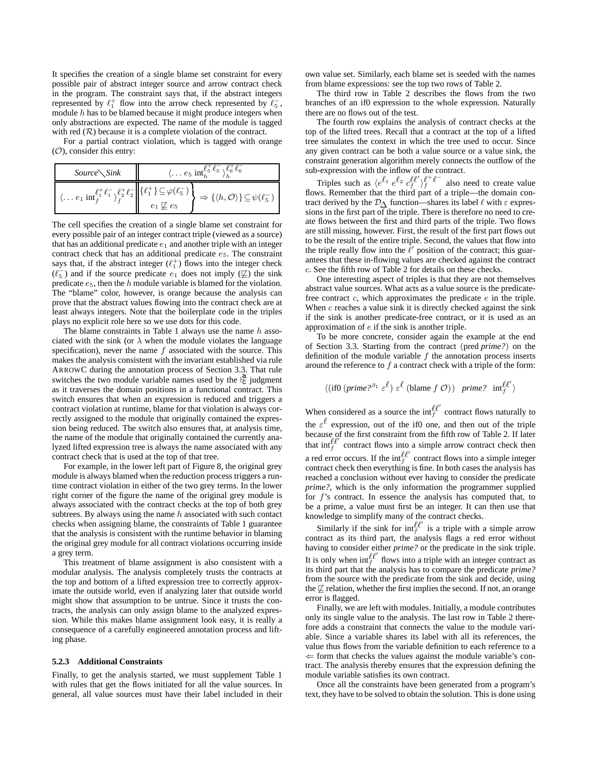It specifies the creation of a single blame set constraint for every possible pair of abstract integer source and arrow contract check in the program. The constraint says that, if the abstract integers represented by  $\ell_1^+$  flow into the arrow check represented by  $\ell_5^-$ , module  $h$  has to be blamed because it might produce integers when only abstractions are expected. The name of the module is tagged with red  $(R)$  because it is a complete violation of the contract.

For a partial contract violation, which is tagged with orange  $(O)$ , consider this entry:

| $Source\setminus Sink$                                                                                                                                                  | $\langle \dots e_5 \text{ int}_{b}^{\ell_5^+ \ell_5^-} \rangle_{b}^{\ell_6^+ \ell_6^-}$                |  |  |
|-------------------------------------------------------------------------------------------------------------------------------------------------------------------------|--------------------------------------------------------------------------------------------------------|--|--|
| $\langle \ldots e_1 \text{ inf}_f^{\ell_1^+ \ell_1^-} \rangle_{\mathfrak{e}}^{\ell_2^+ \ell_2^-} \Big\  \{\ell_1^+ \} \subseteq \overline{\varphi(\ell_5^-)} \; \big\ $ | $\Rightarrow \{\langle h, \mathcal{O} \rangle\} \subseteq \psi(\ell_5^-)$<br>$e_1 \not\sqsubseteq e_5$ |  |  |

The cell specifies the creation of a single blame set constraint for every possible pair of an integer contract triple (viewed as a source) that has an additional predicate  $e_1$  and another triple with an integer contract check that has an additional predicate  $e_5$ . The constraint says that, if the abstract integer  $(\ell_1^+)$  flows into the integer check  $(\ell_5^-)$  and if the source predicate  $e_1$  does not imply  $(\nsubseteq)$  the sink predicate e5, then the h module variable is blamed for the violation. The "blame" color, however, is orange because the analysis can prove that the abstract values flowing into the contract check are at least always integers. Note that the boilerplate code in the triples plays no explicit role here so we use dots for this code.

The blame constraints in Table 1 always use the name  $h$  associated with the sink (or  $\lambda$  when the module violates the language specification), never the name  $f$  associated with the source. This makes the analysis consistent with the invariant established via rule ARROWC during the annotation process of Section 3.3. That rule switches the two module variable names used by the  $\frac{a}{c}$  judgment as it traverses the domain positions in a functional contract. This switch ensures that when an expression is reduced and triggers a contract violation at runtime, blame for that violation is always correctly assigned to the module that originally contained the expression being reduced. The switch also ensures that, at analysis time, the name of the module that originally contained the currently analyzed lifted expression tree is always the name associated with any contract check that is used at the top of that tree.

For example, in the lower left part of Figure 8, the original grey module is always blamed when the reduction process triggers a runtime contract violation in either of the two grey terms. In the lower right corner of the figure the name of the original grey module is always associated with the contract checks at the top of both grey subtrees. By always using the name  $h$  associated with such contact checks when assigning blame, the constraints of Table 1 guarantee that the analysis is consistent with the runtime behavior in blaming the original grey module for all contract violations occurring inside a grey term.

This treatment of blame assignment is also consistent with a modular analysis. The analysis completely trusts the contracts at the top and bottom of a lifted expression tree to correctly approximate the outside world, even if analyzing later that outside world might show that assumption to be untrue. Since it trusts the contracts, the analysis can only assign blame to the analyzed expression. While this makes blame assignment look easy, it is really a consequence of a carefully engineered annotation process and lifting phase.

#### **5.2.3 Additional Constraints**

Finally, to get the analysis started, we must supplement Table 1 with rules that get the flows initiated for all the value sources. In general, all value sources must have their label included in their own value set. Similarly, each blame set is seeded with the names from blame expressions: see the top two rows of Table 2.

The third row in Table 2 describes the flows from the two branches of an if0 expression to the whole expression. Naturally there are no flows out of the test.

The fourth row explains the analysis of contract checks at the top of the lifted trees. Recall that a contract at the top of a lifted tree simulates the context in which the tree used to occur. Since any given contract can be both a value source or a value sink, the constraint generation algorithm merely connects the outflow of the sub-expression with the inflow of the contract.

Triples such as  $\langle e^{\ell_1} e^{\ell_2} c_f^{\ell \ell'} \rangle_f^{\ell^+ \ell^-}$  also need to create value flows. Remember that the third part of a triple—the domain contract derived by the  $\mathcal{D}_{\Lambda}$  function—shares its label  $\ell$  with  $\varepsilon$  expressions in the first part of the triple. There is therefore no need to create flows between the first and third parts of the triple. Two flows are still missing, however. First, the result of the first part flows out to be the result of the entire triple. Second, the values that flow into the triple really flow into the  $\ell'$  position of the contract; this guarantees that these in-flowing values are checked against the contract c. See the fifth row of Table 2 for details on these checks.

One interesting aspect of triples is that they are not themselves abstract value sources. What acts as a value source is the predicatefree contract c, which approximates the predicate e in the triple. When  $c$  reaches a value sink it is directly checked against the sink if the sink is another predicate-free contract, or it is used as an approximation of e if the sink is another triple.

To be more concrete, consider again the example at the end of Section 3.3. Starting from the contract (pred *prime?*) on the definition of the module variable  $f$  the annotation process inserts around the reference to  $f$  a contract check with a triple of the form:

$$
\langle (\text{if} 0 \ (prime^2)^{\beta_1} \ \varepsilon^{\ell}) \ \varepsilon^{\ell} \ (\text{blame} \ f \ \mathcal{O}) \ ) \ \ \text{prime?} \ \ \text{int}_{f}^{\ell \ell'} \rangle
$$

When considered as a source the  $\inf_f^{\ell \ell'}$  contract flows naturally to the  $\varepsilon^{\ell}$  expression, out of the if0 one, and then out of the triple because of the first constraint from the fifth row of Table 2. If later that  $inf_f^{\ell\ell'}$  contract flows into a simple arrow contract check then a red error occurs. If the  $\inf_f^{\ell\ell'}$  contract flows into a simple integer contract check then everything is fine. In both cases the analysis has reached a conclusion without ever having to consider the predicate *prime?*, which is the only information the programmer supplied for  $f$ 's contract. In essence the analysis has computed that, to be a prime, a value must first be an integer. It can then use that knowledge to simplify many of the contract checks.

Similarly if the sink for  $int_f^{\ell \ell'}$  is a triple with a simple arrow contract as its third part, the analysis flags a red error without having to consider either *prime?* or the predicate in the sink triple. It is only when  $\inf_f^{\ell\ell'}$  flows into a triple with an integer contract as its third part that the analysis has to compare the predicate *prime?* from the source with the predicate from the sink and decide, using the  $\not\sqsubseteq$  relation, whether the first implies the second. If not, an orange error is flagged.

Finally, we are left with modules. Initially, a module contributes only its single value to the analysis. The last row in Table 2 therefore adds a constraint that connects the value to the module variable. Since a variable shares its label with all its references, the value thus flows from the variable definition to each reference to a  $\Leftarrow$  form that checks the values against the module variable's contract. The analysis thereby ensures that the expression defining the module variable satisfies its own contract.

Once all the constraints have been generated from a program's text, they have to be solved to obtain the solution. This is done using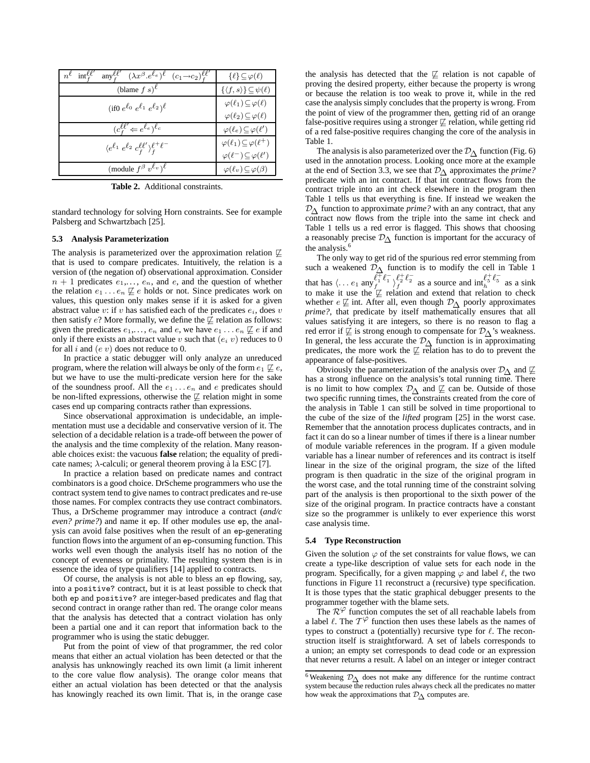| $n^{\ell}$ int $_{\epsilon}^{\ell\ell}$<br>any $\int_{f}^{\ell\ell'} (\lambda x^{\beta} \cdot e^{\ell_e})^{\ell} (c_1 \rightarrow c_2)^{\ell\ell'}$ | $\{\ell\} \subseteq \varphi(\ell)$              |
|-----------------------------------------------------------------------------------------------------------------------------------------------------|-------------------------------------------------|
| (blame $f s$ ) $\ell$                                                                                                                               | $\{\langle f, s \rangle\} \subseteq \psi(\ell)$ |
| (if0 $e^{\ell_0} e^{\ell_1} e^{\ell_2}$ ) $\ell$                                                                                                    | $\varphi(\ell_1) \subseteq \varphi(\ell)$       |
|                                                                                                                                                     | $\varphi(\ell_2) \subseteq \varphi(\ell)$       |
| $(c^{\ell\ell'}_{\epsilon} \Leftarrow e^{\ell_e})^{\ell_c}$                                                                                         | $\varphi(\ell_e) \subseteq \varphi(\ell')$      |
| $\langle e^{\ell_1} e^{\ell_2} c_f^{\ell \ell'} \rangle_f^{\ell + \ell^-}$                                                                          | $\varphi(\ell_1) \subseteq \varphi(\ell^+)$     |
|                                                                                                                                                     | $\varphi(\ell^-) \subseteq \varphi(\ell')$      |
| (module $f^{\beta} v^{\ell_v}$ ) <sup><math>\ell</math></sup>                                                                                       | $\varphi(\ell_v) \subseteq \varphi(\beta)$      |

**Table 2.** Additional constraints.

standard technology for solving Horn constraints. See for example Palsberg and Schwartzbach [25].

#### **5.3 Analysis Parameterization**

The analysis is parameterized over the approximation relation  $\not\sqsubseteq$ that is used to compare predicates. Intuitively, the relation is a version of (the negation of) observational approximation. Consider  $n + 1$  predicates  $e_1, \ldots, e_n$ , and  $e$ , and the question of whether the relation  $e_1 \dots e_n \not\sqsubseteq e$  holds or not. Since predicates work on values, this question only makes sense if it is asked for a given abstract value v: if v has satisfied each of the predicates  $e_i$ , does v then satisfy e? More formally, we define the  $\not\sqsubseteq$  relation as follows: given the predicates  $e_1, \ldots, e_n$  and  $e$ , we have  $e_1 \ldots e_n \not\sqsubseteq e$  if and only if there exists an abstract value  $v$  such that  $(e_i v)$  reduces to  $0$ for all i and  $(e \, v)$  does not reduce to 0.

In practice a static debugger will only analyze an unreduced program, where the relation will always be only of the form  $e_1 \not\sqsubseteq e$ , but we have to use the multi-predicate version here for the sake of the soundness proof. All the  $e_1 \ldots e_n$  and e predicates should be non-lifted expressions, otherwise the  $\not\sqsubseteq$  relation might in some cases end up comparing contracts rather than expressions.

Since observational approximation is undecidable, an implementation must use a decidable and conservative version of it. The selection of a decidable relation is a trade-off between the power of the analysis and the time complexity of the relation. Many reasonable choices exist: the vacuous **false** relation; the equality of predicate names;  $\lambda$ -calculi; or general theorem proving à la ESC [7].

In practice a relation based on predicate names and contract combinators is a good choice. DrScheme programmers who use the contract system tend to give names to contract predicates and re-use those names. For complex contracts they use contract combinators. Thus, a DrScheme programmer may introduce a contract (*and/c even? prime?*) and name it ep. If other modules use ep, the analysis can avoid false positives when the result of an ep-generating function flowsinto the argument of an ep-consuming function. This works well even though the analysis itself has no notion of the concept of evenness or primality. The resulting system then is in essence the idea of type qualifiers [14] applied to contracts.

Of course, the analysis is not able to bless an ep flowing, say, into a positive? contract, but it is at least possible to check that both ep and positive? are integer-based predicates and flag that second contract in orange rather than red. The orange color means that the analysis has detected that a contract violation has only been a partial one and it can report that information back to the programmer who is using the static debugger.

Put from the point of view of that programmer, the red color means that either an actual violation has been detected or that the analysis has unknowingly reached its own limit (a limit inherent to the core value flow analysis). The orange color means that either an actual violation has been detected or that the analysis has knowingly reached its own limit. That is, in the orange case the analysis has detected that the  $\not\sqsubseteq$  relation is not capable of proving the desired property, either because the property is wrong or because the relation is too weak to prove it, while in the red case the analysis simply concludes that the property is wrong. From the point of view of the programmer then, getting rid of an orange false-positive requires using a stronger  $\not\sqsubseteq$  relation, while getting rid of a red false-positive requires changing the core of the analysis in Table 1.

The analysis is also parameterized over the  $\mathcal{D}_{\Lambda}$  function (Fig. 6) used in the annotation process. Looking once more at the example at the end of Section 3.3, we see that D∆ approximates the *prime?* predicate with an int contract. If that int contract flows from the contract triple into an int check elsewhere in the program then Table 1 tells us that everything is fine. If instead we weaken the D∆ function to approximate *prime?* with an any contract, that any contract now flows from the triple into the same int check and Table 1 tells us a red error is flagged. This shows that choosing a reasonably precise  $\mathcal{D}_{\Delta}$  function is important for the accuracy of the analysis.<sup>6</sup>

The only way to get rid of the spurious red error stemming from such a weakened  $\overline{\mathcal{D}}$  function is to modify the cell in Table 1 that has  $\langle \ldots e_1$  any  $\ell_1^{\pm} \ell_1^{-} \rangle_f^{\ell_2^{\pm} \ell_2^{-}}$  as a source and  $\int_{h_1}^{h_2^{\pm} \ell_2^{-}}$  as a sink to make it use the  $\not\sqsubseteq$  relation and extend that relation to check whether  $e \not\sqsubseteq$  int. After all, even though  $\mathcal{D}_{\Lambda}$  poorly approximates *prime?*, that predicate by itself mathematically ensures that all values satisfying it are integers, so there is no reason to flag a red error if  $\not\sqsubseteq$  is strong enough to compensate for  $\mathcal{D}_{\Delta}$ 's weakness. In general, the less accurate the  $\mathcal{D}_{\Delta}$  function is in approximating predicates, the more work the  $\not\sqsubseteq$  relation has to do to prevent the appearance of false-positives.

Obviously the parameterization of the analysis over  $\mathcal{D}_{\Delta}$  and  $\not\sqsubseteq$ has a strong influence on the analysis's total running time. There is no limit to how complex  $\mathcal{D}_{\Lambda}$  and  $\not\sqsubseteq$  can be. Outside of those two specific running times, the constraints created from the core of the analysis in Table 1 can still be solved in time proportional to the cube of the size of the *lifted* program [25] in the worst case. Remember that the annotation process duplicates contracts, and in fact it can do so a linear number of times if there is a linear number of module variable references in the program. If a given module variable has a linear number of references and its contract is itself linear in the size of the original program, the size of the lifted program is then quadratic in the size of the original program in the worst case, and the total running time of the constraint solving part of the analysis is then proportional to the sixth power of the size of the original program. In practice contracts have a constant size so the programmer is unlikely to ever experience this worst case analysis time.

#### **5.4 Type Reconstruction**

Given the solution  $\varphi$  of the set constraints for value flows, we can create a type-like description of value sets for each node in the program. Specifically, for a given mapping  $\varphi$  and label  $\ell$ , the two functions in Figure 11 reconstruct a (recursive) type specification. It is those types that the static graphical debugger presents to the programmer together with the blame sets.

The  $\mathcal{R}^{\varphi}$  function computes the set of all reachable labels from a label  $\ell$ . The  $T^{\varphi}$  function then uses these labels as the names of types to construct a (potentially) recursive type for  $\ell$ . The reconstruction itself is straightforward. A set of labels corresponds to a union; an empty set corresponds to dead code or an expression that never returns a result. A label on an integer or integer contract

<sup>6</sup> Weakening <sup>D</sup><sup>∆</sup> does not make any difference for the runtime contract system because the reduction rules always check all the predicates no matter how weak the approximations that  $\mathcal{D}_{\Delta}$  computes are.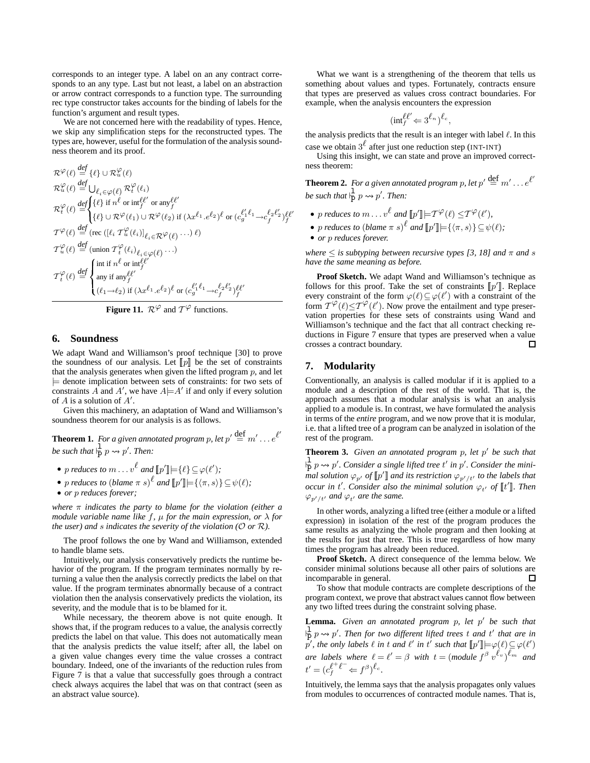corresponds to an integer type. A label on an any contract corresponds to an any type. Last but not least, a label on an abstraction or arrow contract corresponds to a function type. The surrounding rec type constructor takes accounts for the binding of labels for the function's argument and result types.

We are not concerned here with the readability of types. Hence, we skip any simplification steps for the reconstructed types. The types are, however, useful for the formulation of the analysis soundness theorem and its proof.

$$
\mathcal{R}^{\varphi}(\ell) \stackrel{\text{def}}{=} \{ \ell \} \cup \mathcal{R}^{\varphi}_u(\ell)
$$
\n
$$
\mathcal{R}^{\varphi}_u(\ell) \stackrel{\text{def}}{=} \bigcup_{\ell_i \in \varphi(\ell)} \mathcal{R}^{\varphi}_t(\ell_i)
$$
\n
$$
\mathcal{R}^{\varphi}_t(\ell) \stackrel{\text{def}}{=} \begin{cases} \{\ell\} \text{ if } n^{\ell} \text{ or } \text{inf}_{f}^{\ell \ell'} \text{ or } \text{any}_{f}^{\ell \ell'} \\ \{\ell\} \cup \mathcal{R}^{\varphi}(\ell_1) \cup \mathcal{R}^{\varphi}(\ell_2) \text{ if } (\lambda x^{\ell_1} \cdot e^{\ell_2})^{\ell} \text{ or } (c_g^{\ell_1 \ell_1} \rightarrow c_f^{\ell_2 \ell_2'})^{\ell} \ell' \end{cases}
$$
\n
$$
\mathcal{T}^{\varphi}(\ell) \stackrel{\text{def}}{=} (\text{rec } ([\ell_i \mathcal{T}^{\varphi}_u(\ell_i)]_{\ell_i \in \mathcal{R}} \varphi(\ell) \cdots) \ell)
$$
\n
$$
\mathcal{T}^{\varphi}_u(\ell) \stackrel{\text{def}}{=} (\text{union } \mathcal{T}^{\varphi}_t(\ell_i)_{\ell_i \in \varphi(\ell')} \cdots)
$$
\n
$$
\mathcal{T}^{\varphi}_t(\ell) \stackrel{\text{def}}{=} \begin{cases} \text{in } \text{if } n^{\ell} \text{ or } \text{inf}_{f}^{\ell \ell'} \\ \text{any } \text{if } \text{any}^{\ell \ell'} \\ (\ell_1 \rightarrow \ell_2) \text{ if } (\lambda x^{\ell_1} \cdot e^{\ell_2})^{\ell} \text{ or } (c_g^{\ell_1' \ell_1} \rightarrow c_f^{\ell_2 \ell_2'})^{\ell \ell'} \end{cases}
$$

**Figure 11.**  $\mathcal{R}^{\varphi}$  and  $\mathcal{T}^{\varphi}$  functions.

## **6. Soundness**

We adapt Wand and Williamson's proof technique [30] to prove the soundness of our analysis. Let  $\llbracket p \rrbracket$  be the set of constraints that the analysis generates when given the lifted program  $p$ , and let  $\models$  denote implication between sets of constraints: for two sets of constraints  $\overrightarrow{A}$  and  $\overrightarrow{A}'$ , we have  $A \models A'$  if and only if every solution of  $A$  is a solution of  $A'$ .

Given this machinery, an adaptation of Wand and Williamson's soundness theorem for our analysis is as follows.

**Theorem 1.** For a given annotated program p, let  $p' \stackrel{\text{def}}{=} m' \dots e^{\ell'}$ *be such that*  $\frac{1}{p} p \rightsquigarrow p'$ . *Then:* 

- p *reduces to*  $m \dots v^{\ell}$  and  $[\![p']\!] = {\ell} \} \subseteq \varphi(\ell');$
- p *reduces to* (*blame*  $\pi$  *s*)<sup> $\ell$ </sup> and  $[\![p']\!] = {\langle \pi, s \rangle} {\subseteq \psi(\ell)}$ ;

• *or* p *reduces forever;*

*where* π *indicates the party to blame for the violation (either a module variable name like*  $f$ *,*  $\mu$  *for the main expression, or*  $\lambda$  *for the user*) *and s indicates the severity of the violation* ( $O$  *or*  $R$ ).

The proof follows the one by Wand and Williamson, extended to handle blame sets.

Intuitively, our analysis conservatively predicts the runtime behavior of the program. If the program terminates normally by returning a value then the analysis correctly predicts the label on that value. If the program terminates abnormally because of a contract violation then the analysis conservatively predicts the violation, its severity, and the module that is to be blamed for it.

While necessary, the theorem above is not quite enough. It shows that, if the program reduces to a value, the analysis correctly predicts the label on that value. This does not automatically mean that the analysis predicts the value itself; after all, the label on a given value changes every time the value crosses a contract boundary. Indeed, one of the invariants of the reduction rules from Figure 7 is that a value that successfully goes through a contract check always acquires the label that was on that contract (seen as an abstract value source).

What we want is a strengthening of the theorem that tells us something about values and types. Fortunately, contracts ensure that types are preserved as values cross contract boundaries. For example, when the analysis encounters the expression

$$
(\text{int}_f^{\ell\ell'} \Leftarrow 3^{\ell_n})^{\ell_c},
$$

the analysis predicts that the result is an integer with label  $\ell$ . In this case we obtain  $3^{\ell}$  after just one reduction step (INT-INT)

Using this insight, we can state and prove an improved correctness theorem:

**Theorem 2.** For a given annotated program p, let  $p' \stackrel{\text{def}}{=} m' \dots e^{\ell'}$ *be such that*  $\frac{1}{p} p \rightsquigarrow p'$ . *Then:* 

- p *reduces to*  $m \ldots v^{\ell}$  and  $[ \![ p' ]\!] \models T^{\varphi}(\ell) \le T^{\varphi}(\ell'),$
- p *reduces to* (*blame*  $\pi s$ )<sup> $\ell$ </sup> and  $[\![p']\!] = {\langle \pi, s \rangle} {\subseteq \psi(\ell)}$ ;
- *or* p *reduces forever.*

*where*  $\leq$  *is subtyping between recursive types* [3, 18] *and*  $\pi$  *and s have the same meaning as before.*

**Proof Sketch.** We adapt Wand and Williamson's technique as follows for this proof. Take the set of constraints  $[\![p']\!]$ . Replace every constraint of the form  $\varphi(\ell) \subseteq \varphi(\ell')$  with a constraint of the form  $T^{\varphi}(\ell) \leq T^{\varphi}(\ell')$ . Now prove the entailment and type preservation properties for these sets of constraints using Wand and Williamson's technique and the fact that all contract checking reductions in Figure 7 ensure that types are preserved when a value crosses a contract boundary.  $\Box$ 

## **7. Modularity**

Conventionally, an analysis is called modular if it is applied to a module and a description of the rest of the world. That is, the approach assumes that a modular analysis is what an analysis applied to a module is. In contrast, we have formulated the analysis in terms of the *entire* program, and we now prove that it is modular, i.e. that a lifted tree of a program can be analyzed in isolation of the rest of the program.

**Theorem 3.** *Given an annotated program* p*, let* p 0 *be such that*  $\frac{1}{p}$  p  $\rightsquigarrow$  p'. Consider a single lifted tree t' in p'. Consider the mini- $\int_{0}^{1}$  *mal solution*  $\varphi_{p'}$  *of*  $[\![p']\!]$  *and its restriction*  $\varphi_{p'/t'}$  *to the labels that occur in t'. Consider also the minimal solution*  $\varphi_{t'}$  *of*  $\llbracket t' \rrbracket$ *. Then*  $\varphi_{p'/t'}$  and  $\varphi_{t'}$  are the same.

In other words, analyzing a lifted tree (either a module or a lifted expression) in isolation of the rest of the program produces the same results as analyzing the whole program and then looking at the results for just that tree. This is true regardless of how many times the program has already been reduced.

**Proof Sketch.** A direct consequence of the lemma below. We consider minimal solutions because all other pairs of solutions are incomparable in general.  $\Box$ 

To show that module contracts are complete descriptions of the program context, we prove that abstract values cannot flow between any two lifted trees during the constraint solving phase.

**Lemma.** *Given an annotated program* p*, let* p 0 *be such that*  $\frac{1}{p}$  *p*  $\rightarrow$  *p'*. Then for two different lifted trees t and t' that are in  $\phi'$ , the only labels  $\ell$  in t and  $\ell'$  in t' such that  $[\![p']]\!] \models \varphi(\ell) \subseteq \varphi(\ell')$ *are labels where*  $\ell = \ell' = \beta$  *with*  $t = \pmod{f^{\beta} v^{\ell_v}}^{\ell_m}$  *and*  $t' = (c_f^{\ell^+ \ell^-} \Leftarrow f^{\beta})^{\ell_c}.$ 

Intuitively, the lemma says that the analysis propagates only values from modules to occurrences of contracted module names. That is,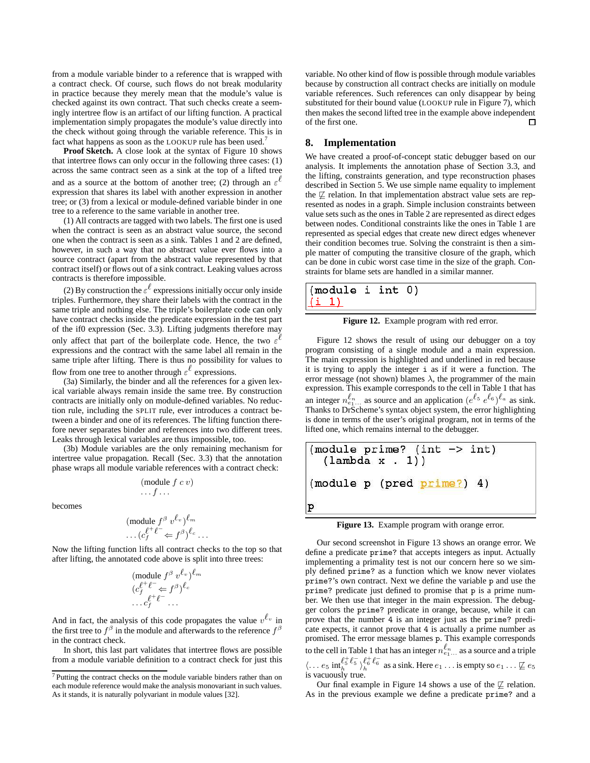from a module variable binder to a reference that is wrapped with a contract check. Of course, such flows do not break modularity in practice because they merely mean that the module's value is checked against its own contract. That such checks create a seemingly intertree flow is an artifact of our lifting function. A practical implementation simply propagates the module's value directly into the check without going through the variable reference. This is in fact what happens as soon as the LOOKUP rule has been used.<sup>7</sup>

**Proof Sketch.** A close look at the syntax of Figure 10 shows that intertree flows can only occur in the following three cases: (1) across the same contract seen as a sink at the top of a lifted tree and as a source at the bottom of another tree; (2) through an  $\varepsilon^{\ell}$ expression that shares its label with another expression in another tree; or (3) from a lexical or module-defined variable binder in one tree to a reference to the same variable in another tree.

(1) All contracts are tagged with two labels. The first one is used when the contract is seen as an abstract value source, the second one when the contract is seen as a sink. Tables 1 and 2 are defined, however, in such a way that no abstract value ever flows into a source contract (apart from the abstract value represented by that contract itself) or flows out of a sink contract. Leaking values across contracts is therefore impossible.

(2) By construction the  $\varepsilon^{\ell}$  expressions initially occur only inside triples. Furthermore, they share their labels with the contract in the same triple and nothing else. The triple's boilerplate code can only have contract checks inside the predicate expression in the test part of the if0 expression (Sec. 3.3). Lifting judgments therefore may only affect that part of the boilerplate code. Hence, the two  $\varepsilon$ <sup>l</sup> expressions and the contract with the same label all remain in the same triple after lifting. There is thus no possibility for values to flow from one tree to another through  $\varepsilon^{\ell}$  expressions.

(3a) Similarly, the binder and all the references for a given lexical variable always remain inside the same tree. By construction contracts are initially only on module-defined variables. No reduction rule, including the SPLIT rule, ever introduces a contract between a binder and one of its references. The lifting function therefore never separates binder and references into two different trees. Leaks through lexical variables are thus impossible, too.

(3b) Module variables are the only remaining mechanism for intertree value propagation. Recall (Sec. 3.3) that the annotation phase wraps all module variable references with a contract check:

> (module  $f c v$ )  $\ldots$  f  $\ldots$

becomes

$$
(\text{module } f^{\beta} v^{\ell_v})^{\ell_m} \\ \dots (c_f^{\ell^+ \ell^-} \Leftarrow f^{\beta})^{\ell_c} \dots
$$

Now the lifting function lifts all contract checks to the top so that after lifting, the annotated code above is split into three trees:

$$
\begin{array}{l}\n(\text{module } f^{\beta} \ v^{\ell_v})^{\ell_m} \\
(c_f^{\ell^+ \ell^-} \Leftarrow f^{\beta})^{\ell_c} \\
\cdots c_f^{\ell^+ \ell^-} \cdots\n\end{array}
$$

And in fact, the analysis of this code propagates the value  $v^{\ell_v}$  in the first tree to  $f^{\beta}$  in the module and afterwards to the reference  $f^{\beta}$ in the contract check.

In short, this last part validates that intertree flows are possible from a module variable definition to a contract check for just this

variable. No other kind of flow is possible through module variables because by construction all contract checks are initially on module variable references. Such references can only disappear by being substituted for their bound value (LOOKUP rule in Figure 7), which then makes the second lifted tree in the example above independent of the first one.  $\Box$ 

## **8. Implementation**

We have created a proof-of-concept static debugger based on our analysis. It implements the annotation phase of Section 3.3, and the lifting, constraints generation, and type reconstruction phases described in Section 5. We use simple name equality to implement the  $\not\sqsubseteq$  relation. In that implementation abstract value sets are represented as nodes in a graph. Simple inclusion constraints between value sets such as the ones in Table 2 are represented as direct edges between nodes. Conditional constraints like the ones in Table 1 are represented as special edges that create new direct edges whenever their condition becomes true. Solving the constraint is then a simple matter of computing the transitive closure of the graph, which can be done in cubic worst case time in the size of the graph. Constraints for blame sets are handled in a similar manner.

| (module i int 0)                    |  |  |
|-------------------------------------|--|--|
| $\left( i\right)$ $\left( i\right)$ |  |  |

**Figure 12.** Example program with red error.

Figure 12 shows the result of using our debugger on a toy program consisting of a single module and a main expression. The main expression is highlighted and underlined in red because it is trying to apply the integer i as if it were a function. The error message (not shown) blames  $\lambda$ , the programmer of the main expression. This example corresponds to the cell in Table 1 that has an integer  $n_{e_1...}^{\ell_n}$  as source and an application  $(e^{\ell_5} e^{\ell_6})^{\ell_a}$  as sink. Thanks to DrScheme's syntax object system, the error highlighting is done in terms of the user's original program, not in terms of the lifted one, which remains internal to the debugger.

**Figure 13.** Example program with orange error.

Our second screenshot in Figure 13 shows an orange error. We define a predicate prime? that accepts integers as input. Actually implementing a primality test is not our concern here so we simply defined prime? as a function which we know never violates prime?'s own contract. Next we define the variable p and use the prime? predicate just defined to promise that p is a prime number. We then use that integer in the main expression. The debugger colors the prime? predicate in orange, because, while it can prove that the number 4 is an integer just as the prime? predicate expects, it cannot prove that 4 is actually a prime number as promised. The error message blames p. This example corresponds to the cell in Table 1 that has an integer  $n_{e_1...}^{\ell_n}$  as a source and a triple  $\langle \dots e_5 \text{ inf}_h^{\ell^+_5 \ell^-_5} \rangle_h^{\ell^+_6 \ell^-_6}$  as a sink. Here  $e_1 \dots$  is empty so  $e_1 \dots \not\sqsubseteq e_5$ 

is vacuously true.

Our final example in Figure 14 shows a use of the  $\not\sqsubseteq$  relation. As in the previous example we define a predicate prime? and a

<sup>7</sup> Putting the contract checks on the module variable binders rather than on each module reference would make the analysis monovariant in such values. As it stands, it is naturally polyvariant in module values [32].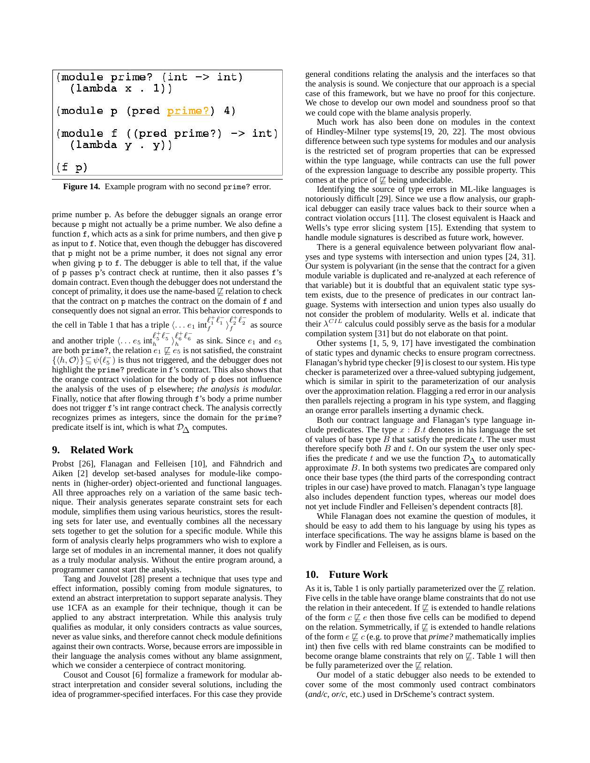```
(module prime? (int \rightarrow int)
  (lambda x . 1))(module p (pred prime?) 4)
(module f ((pred prime?) \rightarrow int)
  (lambda y . y)(f p)
```
**Figure 14.** Example program with no second prime? error.

prime number p. As before the debugger signals an orange error because p might not actually be a prime number. We also define a function f, which acts as a sink for prime numbers, and then give p as input to f. Notice that, even though the debugger has discovered that p might not be a prime number, it does not signal any error when giving p to f. The debugger is able to tell that, if the value of p passes p's contract check at runtime, then it also passes f's domain contract. Even though the debugger does not understand the concept of primality, it does use the name-based  $\not\sqsubseteq$  relation to check that the contract on p matches the contract on the domain of f and consequently does not signal an error. This behavior corresponds to the cell in Table 1 that has a triple  $\langle \dots e_1 \text{ inf}_f^{\ell_+^+ \ell_1^-} \rangle_f^{\ell_2^+ \ell_2^-}$  as source and another triple  $\langle \dots e_5 \text{ int}_{h}^{\ell_5^+} \ell_5^- \rangle_{h}^{\ell_6^+} \ell_6^-$  as sink. Since  $e_1$  and  $e_5$ are both prime?, the relation  $e_1 \not\sqsubseteq e_5$  is not satisfied, the constraint  $[(h, \mathcal{O})] \subset \mathcal{A}(\ell^{\mathbb{C}})$  is thus not triggered, and the debugger does not

 $\{\langle h, \mathcal{O} \rangle\} \subseteq \psi(\ell_5^-)$  is thus not triggered, and the debugger does not highlight the prime? predicate in f's contract. This also shows that the orange contract violation for the body of p does not influence the analysis of the uses of p elsewhere; *the analysis is modular.* Finally, notice that after flowing through f's body a prime number does not trigger f's int range contract check. The analysis correctly recognizes primes as integers, since the domain for the prime? predicate itself is int, which is what  $\mathcal{D}_{\Lambda}$  computes.

#### **9. Related Work**

Probst [26], Flanagan and Felleisen [10], and Fähndrich and Aiken [2] develop set-based analyses for module-like components in (higher-order) object-oriented and functional languages. All three approaches rely on a variation of the same basic technique. Their analysis generates separate constraint sets for each module, simplifies them using various heuristics, stores the resulting sets for later use, and eventually combines all the necessary sets together to get the solution for a specific module. While this form of analysis clearly helps programmers who wish to explore a large set of modules in an incremental manner, it does not qualify as a truly modular analysis. Without the entire program around, a programmer cannot start the analysis.

Tang and Jouvelot [28] present a technique that uses type and effect information, possibly coming from module signatures, to extend an abstract interpretation to support separate analysis. They use 1CFA as an example for their technique, though it can be applied to any abstract interpretation. While this analysis truly qualifies as modular, it only considers contracts as value sources, never as value sinks, and therefore cannot check module definitions against their own contracts. Worse, because errors are impossible in their language the analysis comes without any blame assignment, which we consider a centerpiece of contract monitoring.

Cousot and Cousot [6] formalize a framework for modular abstract interpretation and consider several solutions, including the idea of programmer-specified interfaces. For this case they provide general conditions relating the analysis and the interfaces so that the analysis is sound. We conjecture that our approach is a special case of this framework, but we have no proof for this conjecture. We chose to develop our own model and soundness proof so that we could cope with the blame analysis properly.

Much work has also been done on modules in the context of Hindley-Milner type systems[19, 20, 22]. The most obvious difference between such type systems for modules and our analysis is the restricted set of program properties that can be expressed within the type language, while contracts can use the full power of the expression language to describe any possible property. This comes at the price of  $\not\sqsubseteq$  being undecidable.

Identifying the source of type errors in ML-like languages is notoriously difficult [29]. Since we use a flow analysis, our graphical debugger can easily trace values back to their source when a contract violation occurs [11]. The closest equivalent is Haack and Wells's type error slicing system [15]. Extending that system to handle module signatures is described as future work, however.

There is a general equivalence between polyvariant flow analyses and type systems with intersection and union types [24, 31]. Our system is polyvariant (in the sense that the contract for a given module variable is duplicated and re-analyzed at each reference of that variable) but it is doubtful that an equivalent static type system exists, due to the presence of predicates in our contract language. Systems with intersection and union types also usually do not consider the problem of modularity. Wells et al. indicate that their  $\lambda^{CIL}$  calculus could possibly serve as the basis for a modular compilation system [31] but do not elaborate on that point.

Other systems [1, 5, 9, 17] have investigated the combination of static types and dynamic checks to ensure program correctness. Flanagan's hybrid type checker [9] is closest to our system. Histype checker is parameterized over a three-valued subtyping judgement, which is similar in spirit to the parameterization of our analysis over the approximation relation. Flagging a red error in our analysis then parallels rejecting a program in his type system, and flagging an orange error parallels inserting a dynamic check.

Both our contract language and Flanagan's type language include predicates. The type  $x : B.t$  denotes in his language the set of values of base type  $B$  that satisfy the predicate  $t$ . The user must therefore specify both  $B$  and  $t$ . On our system the user only specifies the predicate t and we use the function  $\mathcal{D}_{\Delta}$  to automatically approximate B. In both systems two predicates are compared only once their base types (the third parts of the corresponding contract triples in our case) have proved to match. Flanagan's type language also includes dependent function types, whereas our model does not yet include Findler and Felleisen's dependent contracts [8].

While Flanagan does not examine the question of modules, it should be easy to add them to his language by using his types as interface specifications. The way he assigns blame is based on the work by Findler and Felleisen, as is ours.

## **10. Future Work**

As it is, Table 1 is only partially parameterized over the  $\not\sqsubseteq$  relation. Five cells in the table have orange blame constraints that do not use the relation in their antecedent. If  $\not\sqsubset$  is extended to handle relations of the form  $c \not\sqsubseteq e$  then those five cells can be modified to depend on the relation. Symmetrically, if  $\not\sqsubseteq$  is extended to handle relations of the form  $e \not\sqsubseteq c$  (e.g. to prove that *prime?* mathematically implies int) then five cells with red blame constraints can be modified to become orange blame constraints that rely on  $\not\sqsubseteq$ . Table 1 will then be fully parameterized over the  $\not\sqsubseteq$  relation.

Our model of a static debugger also needs to be extended to cover some of the most commonly used contract combinators (*and/c*, *or/c*, etc.) used in DrScheme's contract system.